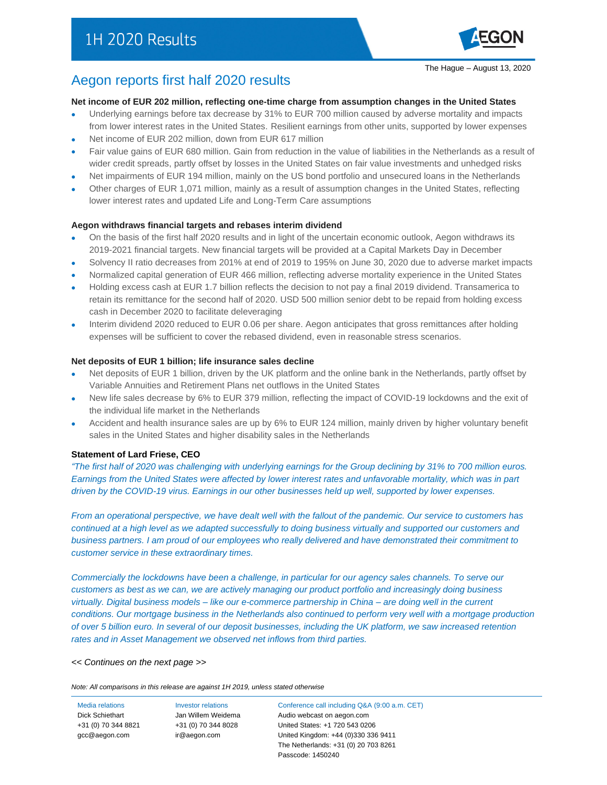### Aegon reports first half 2020 results

#### **Net income of EUR 202 million, reflecting one-time charge from assumption changes in the United States**

- Underlying earnings before tax decrease by 31% to EUR 700 million caused by adverse mortality and impacts from lower interest rates in the United States. Resilient earnings from other units, supported by lower expenses
- Net income of EUR 202 million, down from EUR 617 million
- Fair value gains of EUR 680 million. Gain from reduction in the value of liabilities in the Netherlands as a result of wider credit spreads, partly offset by losses in the United States on fair value investments and unhedged risks
- Net impairments of EUR 194 million, mainly on the US bond portfolio and unsecured loans in the Netherlands
- Other charges of EUR 1,071 million, mainly as a result of assumption changes in the United States, reflecting lower interest rates and updated Life and Long-Term Care assumptions

#### **Aegon withdraws financial targets and rebases interim dividend**

- On the basis of the first half 2020 results and in light of the uncertain economic outlook, Aegon withdraws its 2019-2021 financial targets. New financial targets will be provided at a Capital Markets Day in December
- Solvency II ratio decreases from 201% at end of 2019 to 195% on June 30, 2020 due to adverse market impacts
- Normalized capital generation of EUR 466 million, reflecting adverse mortality experience in the United States
- Holding excess cash at EUR 1.7 billion reflects the decision to not pay a final 2019 dividend. Transamerica to retain its remittance for the second half of 2020. USD 500 million senior debt to be repaid from holding excess cash in December 2020 to facilitate deleveraging
- Interim dividend 2020 reduced to EUR 0.06 per share. Aegon anticipates that gross remittances after holding expenses will be sufficient to cover the rebased dividend, even in reasonable stress scenarios.

#### **Net deposits of EUR 1 billion; life insurance sales decline**

- Net deposits of EUR 1 billion, driven by the UK platform and the online bank in the Netherlands, partly offset by Variable Annuities and Retirement Plans net outflows in the United States
- New life sales decrease by 6% to EUR 379 million, reflecting the impact of COVID-19 lockdowns and the exit of the individual life market in the Netherlands
- Accident and health insurance sales are up by 6% to EUR 124 million, mainly driven by higher voluntary benefit sales in the United States and higher disability sales in the Netherlands

#### **Statement of Lard Friese, CEO**

*"The first half of 2020 was challenging with underlying earnings for the Group declining by 31% to 700 million euros. Earnings from the United States were affected by lower interest rates and unfavorable mortality, which was in part driven by the COVID-19 virus. Earnings in our other businesses held up well, supported by lower expenses.*

*From an operational perspective, we have dealt well with the fallout of the pandemic. Our service to customers has continued at a high level as we adapted successfully to doing business virtually and supported our customers and business partners. I am proud of our employees who really delivered and have demonstrated their commitment to customer service in these extraordinary times.*

*Commercially the lockdowns have been a challenge, in particular for our agency sales channels. To serve our customers as best as we can, we are actively managing our product portfolio and increasingly doing business virtually. Digital business models – like our e-commerce partnership in China – are doing well in the current conditions. Our mortgage business in the Netherlands also continued to perform very well with a mortgage production of over 5 billion euro. In several of our deposit businesses, including the UK platform, we saw increased retention rates and in Asset Management we observed net inflows from third parties.*

#### *<< Continues on the next page >>*

*Note: All comparisons in this release are against 1H 2019, unless stated otherwise*

+31 (0) 70 344 8821 [gcc@aegon.com](mailto:gcc@aegon.com)

+31 (0) 70 344 8028 [ir@aegon.com](mailto:ir@aegon.com)

Media relations Investor relations Conference call including Q&A (9:00 a.m. CET) Dick Schiethart **Jan Willem Weidema** Audio webcast on aegon.com United States: +1 720 543 0206 United Kingdom: +44 (0)330 336 9411 The Netherlands: +31 (0) 20 703 8261 Passcode: 1450240

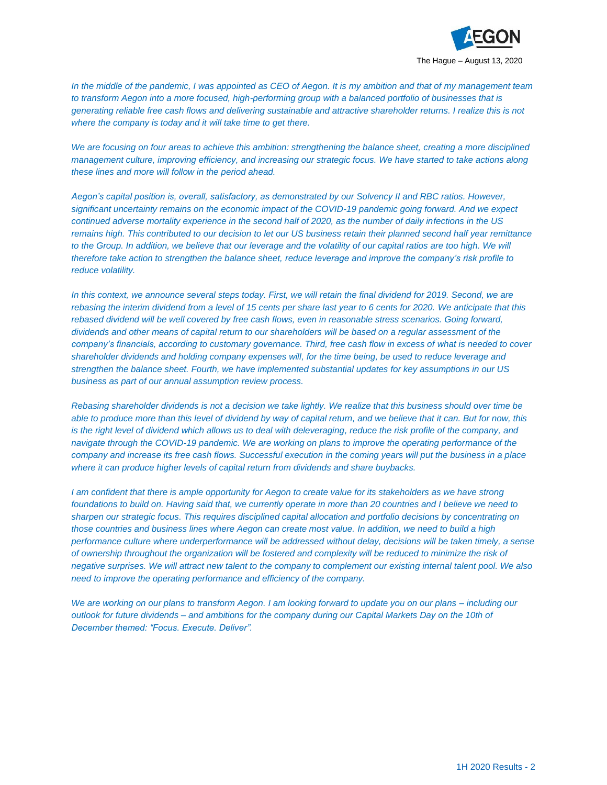

*In the middle of the pandemic, I was appointed as CEO of Aegon. It is my ambition and that of my management team to transform Aegon into a more focused, high-performing group with a balanced portfolio of businesses that is generating reliable free cash flows and delivering sustainable and attractive shareholder returns. I realize this is not where the company is today and it will take time to get there.*

We are focusing on four areas to achieve this ambition: strengthening the balance sheet, creating a more disciplined *management culture, improving efficiency, and increasing our strategic focus. We have started to take actions along these lines and more will follow in the period ahead.*

*Aegon's capital position is, overall, satisfactory, as demonstrated by our Solvency II and RBC ratios. However, significant uncertainty remains on the economic impact of the COVID-19 pandemic going forward. And we expect continued adverse mortality experience in the second half of 2020, as the number of daily infections in the US remains high. This contributed to our decision to let our US business retain their planned second half year remittance to the Group. In addition, we believe that our leverage and the volatility of our capital ratios are too high. We will therefore take action to strengthen the balance sheet, reduce leverage and improve the company's risk profile to reduce volatility.*

*In this context, we announce several steps today. First, we will retain the final dividend for 2019. Second, we are rebasing the interim dividend from a level of 15 cents per share last year to 6 cents for 2020. We anticipate that this rebased dividend will be well covered by free cash flows, even in reasonable stress scenarios. Going forward, dividends and other means of capital return to our shareholders will be based on a regular assessment of the company's financials, according to customary governance. Third, free cash flow in excess of what is needed to cover shareholder dividends and holding company expenses will, for the time being, be used to reduce leverage and strengthen the balance sheet. Fourth, we have implemented substantial updates for key assumptions in our US business as part of our annual assumption review process.*

*Rebasing shareholder dividends is not a decision we take lightly. We realize that this business should over time be able to produce more than this level of dividend by way of capital return, and we believe that it can. But for now, this is the right level of dividend which allows us to deal with deleveraging, reduce the risk profile of the company, and navigate through the COVID-19 pandemic. We are working on plans to improve the operating performance of the company and increase its free cash flows. Successful execution in the coming years will put the business in a place where it can produce higher levels of capital return from dividends and share buybacks.*

*I am confident that there is ample opportunity for Aegon to create value for its stakeholders as we have strong foundations to build on. Having said that, we currently operate in more than 20 countries and I believe we need to sharpen our strategic focus. This requires disciplined capital allocation and portfolio decisions by concentrating on those countries and business lines where Aegon can create most value. In addition, we need to build a high performance culture where underperformance will be addressed without delay, decisions will be taken timely, a sense of ownership throughout the organization will be fostered and complexity will be reduced to minimize the risk of negative surprises. We will attract new talent to the company to complement our existing internal talent pool. We also need to improve the operating performance and efficiency of the company.*

*We are working on our plans to transform Aegon. I am looking forward to update you on our plans – including our outlook for future dividends – and ambitions for the company during our Capital Markets Day on the 10th of December themed: "Focus. Execute. Deliver".*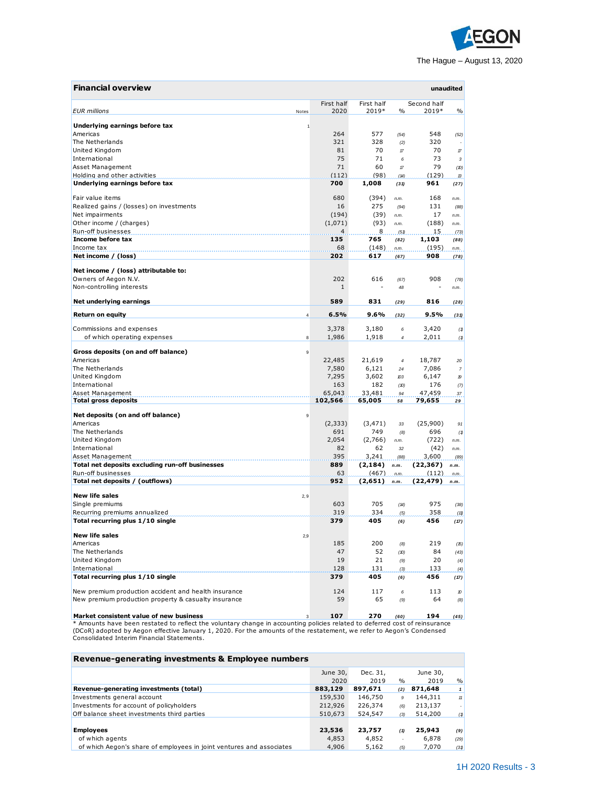

| <b>Financial overview</b>                            |                |                    |                     |                |                      | unaudited                                                                                                      |
|------------------------------------------------------|----------------|--------------------|---------------------|----------------|----------------------|----------------------------------------------------------------------------------------------------------------|
| <b>EUR</b> millions                                  | Notes          | First half<br>2020 | First half<br>2019* | $\%$           | Second half<br>2019* | $\frac{0}{0}$                                                                                                  |
| Underlying earnings before tax                       |                |                    |                     |                |                      |                                                                                                                |
| Americas                                             |                | 264                | 577                 | (54)           | 548                  | (52)                                                                                                           |
| The Netherlands                                      |                | 321                | 328                 | (2)            | 320                  |                                                                                                                |
| United Kinadom                                       |                | 81                 | 70                  | $\mathcal{L}$  | 70                   | $\pi$                                                                                                          |
| International                                        |                | 75                 | 71                  | 6              | 73                   | $\boldsymbol{\mathsf{3}}$                                                                                      |
| Asset Management                                     |                | 71                 | 60                  | $\mathcal{L}$  | 79                   | (10)                                                                                                           |
| Holding and other activities                         |                | (112)              | (98)                | (14)           | (129)                | $\mathcal{B}% _{T}=\mathcal{A}_{T}\!\left( a,b\right) ,\ \mathcal{A}_{T}=\mathcal{A}_{T}\!\left( a,b\right) ,$ |
| Underlying earnings before tax                       |                | 700                | 1,008               | (31)           | 961                  | (27)                                                                                                           |
| Fair value items                                     |                | 680                | (394)               | n.m.           | 168                  | n.m.                                                                                                           |
| Realized gains / (losses) on investments             |                | 16                 | 275                 | (94)           | 131                  | (88)                                                                                                           |
| Net impairments                                      |                | (194)              | (39)                | n.m.           | 17                   | n.m.                                                                                                           |
| Other income / (charges)                             |                | (1,071)            | (93)                | n.m.           | (188)                | n.m.                                                                                                           |
| Run-off businesses                                   |                | 4                  | 8                   | (51)           | 15                   | (73)                                                                                                           |
| Income before tax                                    |                | 135                | 765                 | (82)           | 1,103                | (88)                                                                                                           |
| Income tax                                           |                | 68                 | (148)               | n.m.           | (195)                | n.m.                                                                                                           |
| Net income / (loss)                                  |                | 202                | 617                 | (67)           | 908                  | (78)                                                                                                           |
| Net income / (loss) attributable to:                 |                |                    |                     |                |                      |                                                                                                                |
| Owners of Aegon N.V.                                 |                | 202                | 616                 | (67)           | 908                  | (78)                                                                                                           |
| Non-controlling interests                            |                | $\mathbf{1}$       |                     | 48             |                      | n.m.                                                                                                           |
| Net underlying earnings                              |                | 589                | 831                 | (29)           | 816                  | (28)                                                                                                           |
| <b>Return on equity</b>                              | $\overline{4}$ | 6.5%               | 9.6%                | (32)           | 9.5%                 | (31)                                                                                                           |
|                                                      |                |                    |                     |                |                      |                                                                                                                |
| Commissions and expenses                             |                | 3,378              | 3,180               | 6              | 3,420                | (1)                                                                                                            |
| of which operating expenses                          | 8              | 1,986              | 1,918               | $\sqrt{4}$     | 2,011                | (1)                                                                                                            |
| Gross deposits (on and off balance)                  | 9              |                    |                     |                |                      |                                                                                                                |
| Americas                                             |                | 22,485             | 21,619              | $\overline{4}$ | 18,787               | 20                                                                                                             |
| The Netherlands                                      |                | 7,580              | 6,121               | 24             | 7,086                | $\boldsymbol{7}$                                                                                               |
| United Kingdom                                       |                | 7,295              | 3,602               | 103            | 6,147                | 19                                                                                                             |
| International                                        |                | 163                | 182                 | (D)            | 176                  | (7)                                                                                                            |
| Asset Management                                     |                | 65,043             | 33,481              | 94             | 47,459               | 37                                                                                                             |
| <b>Total gross deposits</b>                          |                | 102,566            | 65,005              | 58             | 79,655               | 29                                                                                                             |
| Net deposits (on and off balance)                    | 9              |                    |                     |                |                      |                                                                                                                |
| Americas                                             |                | (2, 333)           | (3, 471)            | 33             | (25,900)             | 91                                                                                                             |
| The Netherlands                                      |                | 691                | 749                 | (8)            | 696                  | (1)                                                                                                            |
| United Kingdom                                       |                | 2,054              | (2,766)             | n.m.           | (722)                | n.m.                                                                                                           |
| International                                        |                | 82                 | 62                  | 32             | (42)                 | n.m.                                                                                                           |
| Asset Management                                     |                | 395                | 3,241               | (88)           | 3,600                | (89)                                                                                                           |
| Total net deposits excluding run-off businesses      |                | 889                | (2, 184)            | n.m.           | (22, 367)            | n.m.                                                                                                           |
| Run-off businesses                                   |                | 63                 | (467)               | n.m.           | (112)                | n.m.                                                                                                           |
| Total net deposits / (outflows)                      |                | 952                | (2,651)             | n.m.           | (22, 479)            | n.m.                                                                                                           |
| <b>New life sales</b>                                | 2,9            |                    |                     |                |                      |                                                                                                                |
| Single premiums                                      |                | 603                | 705                 | (14)           | 975                  | (38)                                                                                                           |
| Recurring premiums annualized                        |                | 319                | 334                 |                | 358                  |                                                                                                                |
| Total recurring plus 1/10 single                     |                | 379                | 405                 | (5)<br>(6)     | 456                  | (11)<br>(17)                                                                                                   |
|                                                      |                |                    |                     |                |                      |                                                                                                                |
| <b>New life sales</b>                                | 2,9            |                    |                     |                |                      |                                                                                                                |
| Americas                                             |                | 185                | 200                 | (8)            | 219                  | (15)                                                                                                           |
| The Netherlands                                      |                | 47                 | 52                  | (10)           | 84                   | (43)                                                                                                           |
| United Kingdom                                       |                | 19                 | 21                  | (9)            | 20                   | (4)                                                                                                            |
| International                                        |                | 128                | 131                 | (3)            | 133                  | (4)                                                                                                            |
| Total recurring plus 1/10 single                     |                | 379                | 405                 | (6)            | 456                  | (17)                                                                                                           |
| New premium production accident and health insurance |                | 124                | 117                 | 6              | 113                  | $\pmb{\mathcal{D}}$                                                                                            |
| New premium production property & casualty insurance |                | 59                 | 65                  | (9)            | 64                   | (8)                                                                                                            |
|                                                      |                |                    |                     |                |                      |                                                                                                                |
| Market consistent value of new business              | 3              | 107                | 270                 | (60)           | 194                  | (45)                                                                                                           |

Market consistent value of new business<br>\* Amounts have been restated to reflect the voluntary change in accounting policies related to deferred cost of reinsurance<br>(DCoR) adopted by Aegon effective January 1, 2020. For the

| Revenue-generating investments & Employee numbers                    |          |          |               |          |                     |
|----------------------------------------------------------------------|----------|----------|---------------|----------|---------------------|
|                                                                      | June 30, | Dec. 31, |               | June 30, |                     |
|                                                                      | 2020     | 2019     | $\frac{0}{0}$ | 2019     | $\frac{0}{0}$       |
| Revenue-generating investments (total)                               | 883,129  | 897.671  | (2)           | 871,648  |                     |
| Investments general account                                          | 159,530  | 146,750  | 9             | 144,311  | $\boldsymbol{\eta}$ |
| Investments for account of policyholders                             | 212,926  | 226,374  | (6)           | 213,137  |                     |
| Off balance sheet investments third parties                          | 510,673  | 524,547  | (3)           | 514,200  | (1)                 |
|                                                                      |          |          |               |          |                     |
| <b>Employees</b>                                                     | 23,536   | 23,757   | (1)           | 25,943   | (9)                 |
| of which agents                                                      | 4,853    | 4,852    |               | 6,878    | (29)                |
| of which Aegon's share of employees in joint ventures and associates | 4,906    | 5,162    | (5)           | 7.070    | (31)                |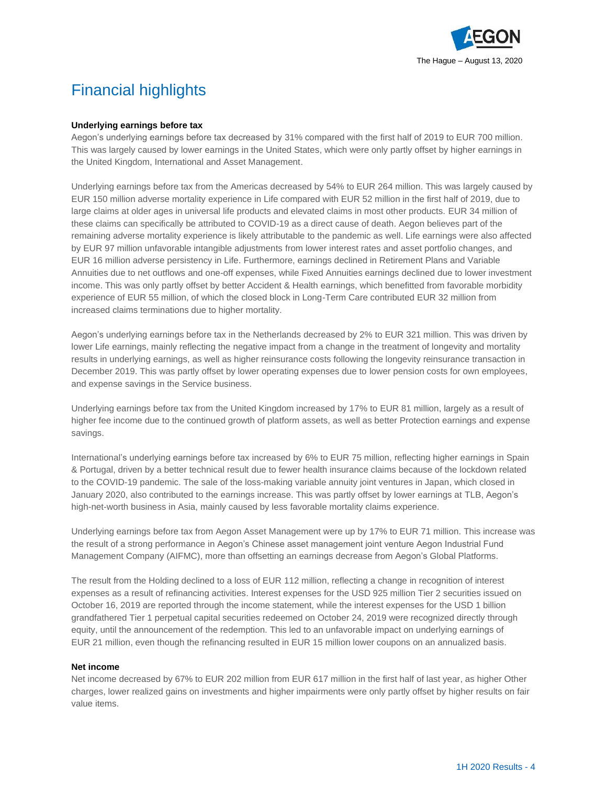

# Financial highlights

#### **Underlying earnings before tax**

Aegon's underlying earnings before tax decreased by 31% compared with the first half of 2019 to EUR 700 million. This was largely caused by lower earnings in the United States, which were only partly offset by higher earnings in the United Kingdom, International and Asset Management.

Underlying earnings before tax from the Americas decreased by 54% to EUR 264 million. This was largely caused by EUR 150 million adverse mortality experience in Life compared with EUR 52 million in the first half of 2019, due to large claims at older ages in universal life products and elevated claims in most other products. EUR 34 million of these claims can specifically be attributed to COVID-19 as a direct cause of death. Aegon believes part of the remaining adverse mortality experience is likely attributable to the pandemic as well. Life earnings were also affected by EUR 97 million unfavorable intangible adjustments from lower interest rates and asset portfolio changes, and EUR 16 million adverse persistency in Life. Furthermore, earnings declined in Retirement Plans and Variable Annuities due to net outflows and one-off expenses, while Fixed Annuities earnings declined due to lower investment income. This was only partly offset by better Accident & Health earnings, which benefitted from favorable morbidity experience of EUR 55 million, of which the closed block in Long-Term Care contributed EUR 32 million from increased claims terminations due to higher mortality.

Aegon's underlying earnings before tax in the Netherlands decreased by 2% to EUR 321 million. This was driven by lower Life earnings, mainly reflecting the negative impact from a change in the treatment of longevity and mortality results in underlying earnings, as well as higher reinsurance costs following the longevity reinsurance transaction in December 2019. This was partly offset by lower operating expenses due to lower pension costs for own employees, and expense savings in the Service business.

Underlying earnings before tax from the United Kingdom increased by 17% to EUR 81 million, largely as a result of higher fee income due to the continued growth of platform assets, as well as better Protection earnings and expense savings.

International's underlying earnings before tax increased by 6% to EUR 75 million, reflecting higher earnings in Spain & Portugal, driven by a better technical result due to fewer health insurance claims because of the lockdown related to the COVID-19 pandemic. The sale of the loss-making variable annuity joint ventures in Japan, which closed in January 2020, also contributed to the earnings increase. This was partly offset by lower earnings at TLB, Aegon's high-net-worth business in Asia, mainly caused by less favorable mortality claims experience.

Underlying earnings before tax from Aegon Asset Management were up by 17% to EUR 71 million. This increase was the result of a strong performance in Aegon's Chinese asset management joint venture Aegon Industrial Fund Management Company (AIFMC), more than offsetting an earnings decrease from Aegon's Global Platforms.

The result from the Holding declined to a loss of EUR 112 million, reflecting a change in recognition of interest expenses as a result of refinancing activities. Interest expenses for the USD 925 million Tier 2 securities issued on October 16, 2019 are reported through the income statement, while the interest expenses for the USD 1 billion grandfathered Tier 1 perpetual capital securities redeemed on October 24, 2019 were recognized directly through equity, until the announcement of the redemption. This led to an unfavorable impact on underlying earnings of EUR 21 million, even though the refinancing resulted in EUR 15 million lower coupons on an annualized basis.

#### **Net income**

Net income decreased by 67% to EUR 202 million from EUR 617 million in the first half of last year, as higher Other charges, lower realized gains on investments and higher impairments were only partly offset by higher results on fair value items.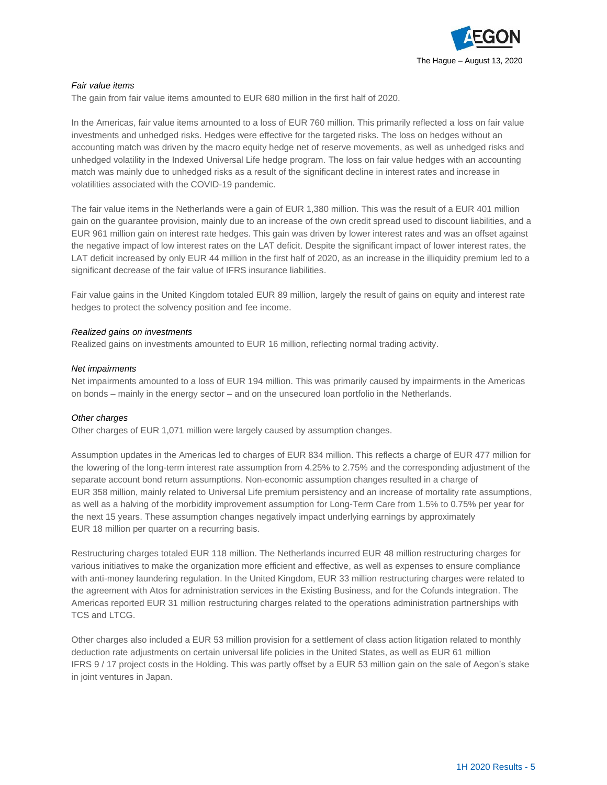

#### *Fair value items*

The gain from fair value items amounted to EUR 680 million in the first half of 2020.

In the Americas, fair value items amounted to a loss of EUR 760 million. This primarily reflected a loss on fair value investments and unhedged risks. Hedges were effective for the targeted risks. The loss on hedges without an accounting match was driven by the macro equity hedge net of reserve movements, as well as unhedged risks and unhedged volatility in the Indexed Universal Life hedge program. The loss on fair value hedges with an accounting match was mainly due to unhedged risks as a result of the significant decline in interest rates and increase in volatilities associated with the COVID-19 pandemic.

The fair value items in the Netherlands were a gain of EUR 1,380 million. This was the result of a EUR 401 million gain on the guarantee provision, mainly due to an increase of the own credit spread used to discount liabilities, and a EUR 961 million gain on interest rate hedges. This gain was driven by lower interest rates and was an offset against the negative impact of low interest rates on the LAT deficit. Despite the significant impact of lower interest rates, the LAT deficit increased by only EUR 44 million in the first half of 2020, as an increase in the illiquidity premium led to a significant decrease of the fair value of IFRS insurance liabilities.

Fair value gains in the United Kingdom totaled EUR 89 million, largely the result of gains on equity and interest rate hedges to protect the solvency position and fee income.

#### *Realized gains on investments*

Realized gains on investments amounted to EUR 16 million, reflecting normal trading activity.

#### *Net impairments*

Net impairments amounted to a loss of EUR 194 million. This was primarily caused by impairments in the Americas on bonds – mainly in the energy sector – and on the unsecured loan portfolio in the Netherlands.

#### *Other charges*

Other charges of EUR 1,071 million were largely caused by assumption changes.

Assumption updates in the Americas led to charges of EUR 834 million. This reflects a charge of EUR 477 million for the lowering of the long-term interest rate assumption from 4.25% to 2.75% and the corresponding adjustment of the separate account bond return assumptions. Non-economic assumption changes resulted in a charge of EUR 358 million, mainly related to Universal Life premium persistency and an increase of mortality rate assumptions, as well as a halving of the morbidity improvement assumption for Long-Term Care from 1.5% to 0.75% per year for the next 15 years. These assumption changes negatively impact underlying earnings by approximately EUR 18 million per quarter on a recurring basis.

Restructuring charges totaled EUR 118 million. The Netherlands incurred EUR 48 million restructuring charges for various initiatives to make the organization more efficient and effective, as well as expenses to ensure compliance with anti-money laundering regulation. In the United Kingdom, EUR 33 million restructuring charges were related to the agreement with Atos for administration services in the Existing Business, and for the Cofunds integration. The Americas reported EUR 31 million restructuring charges related to the operations administration partnerships with TCS and LTCG.

Other charges also included a EUR 53 million provision for a settlement of class action litigation related to monthly deduction rate adjustments on certain universal life policies in the United States, as well as EUR 61 million IFRS 9 / 17 project costs in the Holding. This was partly offset by a EUR 53 million gain on the sale of Aegon's stake in joint ventures in Japan.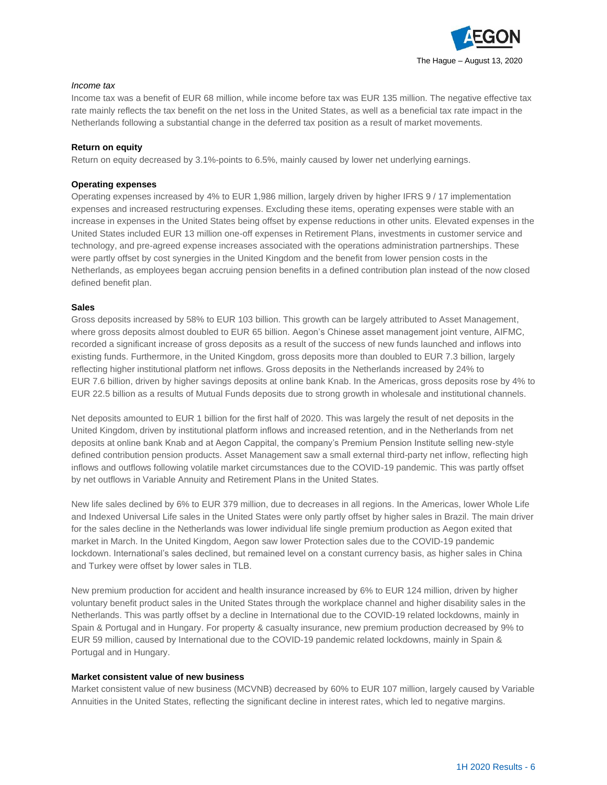

#### *Income tax*

Income tax was a benefit of EUR 68 million, while income before tax was EUR 135 million. The negative effective tax rate mainly reflects the tax benefit on the net loss in the United States, as well as a beneficial tax rate impact in the Netherlands following a substantial change in the deferred tax position as a result of market movements.

#### **Return on equity**

Return on equity decreased by 3.1%-points to 6.5%, mainly caused by lower net underlying earnings.

#### **Operating expenses**

Operating expenses increased by 4% to EUR 1,986 million, largely driven by higher IFRS 9 / 17 implementation expenses and increased restructuring expenses. Excluding these items, operating expenses were stable with an increase in expenses in the United States being offset by expense reductions in other units. Elevated expenses in the United States included EUR 13 million one-off expenses in Retirement Plans, investments in customer service and technology, and pre-agreed expense increases associated with the operations administration partnerships. These were partly offset by cost synergies in the United Kingdom and the benefit from lower pension costs in the Netherlands, as employees began accruing pension benefits in a defined contribution plan instead of the now closed defined benefit plan.

#### **Sales**

Gross deposits increased by 58% to EUR 103 billion. This growth can be largely attributed to Asset Management, where gross deposits almost doubled to EUR 65 billion. Aegon's Chinese asset management joint venture, AIFMC, recorded a significant increase of gross deposits as a result of the success of new funds launched and inflows into existing funds. Furthermore, in the United Kingdom, gross deposits more than doubled to EUR 7.3 billion, largely reflecting higher institutional platform net inflows. Gross deposits in the Netherlands increased by 24% to EUR 7.6 billion, driven by higher savings deposits at online bank Knab. In the Americas, gross deposits rose by 4% to EUR 22.5 billion as a results of Mutual Funds deposits due to strong growth in wholesale and institutional channels.

Net deposits amounted to EUR 1 billion for the first half of 2020. This was largely the result of net deposits in the United Kingdom, driven by institutional platform inflows and increased retention, and in the Netherlands from net deposits at online bank Knab and at Aegon Cappital, the company's Premium Pension Institute selling new-style defined contribution pension products. Asset Management saw a small external third-party net inflow, reflecting high inflows and outflows following volatile market circumstances due to the COVID-19 pandemic. This was partly offset by net outflows in Variable Annuity and Retirement Plans in the United States.

New life sales declined by 6% to EUR 379 million, due to decreases in all regions. In the Americas, lower Whole Life and Indexed Universal Life sales in the United States were only partly offset by higher sales in Brazil. The main driver for the sales decline in the Netherlands was lower individual life single premium production as Aegon exited that market in March. In the United Kingdom, Aegon saw lower Protection sales due to the COVID-19 pandemic lockdown. International's sales declined, but remained level on a constant currency basis, as higher sales in China and Turkey were offset by lower sales in TLB.

New premium production for accident and health insurance increased by 6% to EUR 124 million, driven by higher voluntary benefit product sales in the United States through the workplace channel and higher disability sales in the Netherlands. This was partly offset by a decline in International due to the COVID-19 related lockdowns, mainly in Spain & Portugal and in Hungary. For property & casualty insurance, new premium production decreased by 9% to EUR 59 million, caused by International due to the COVID-19 pandemic related lockdowns, mainly in Spain & Portugal and in Hungary.

#### **Market consistent value of new business**

Market consistent value of new business (MCVNB) decreased by 60% to EUR 107 million, largely caused by Variable Annuities in the United States, reflecting the significant decline in interest rates, which led to negative margins.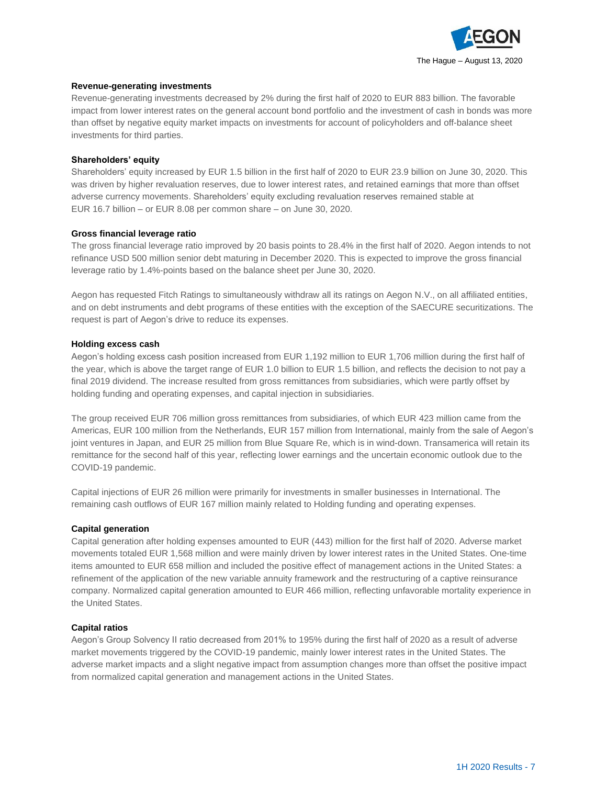

#### **Revenue-generating investments**

Revenue-generating investments decreased by 2% during the first half of 2020 to EUR 883 billion. The favorable impact from lower interest rates on the general account bond portfolio and the investment of cash in bonds was more than offset by negative equity market impacts on investments for account of policyholders and off-balance sheet investments for third parties.

#### **Shareholders' equity**

Shareholders' equity increased by EUR 1.5 billion in the first half of 2020 to EUR 23.9 billion on June 30, 2020. This was driven by higher revaluation reserves, due to lower interest rates, and retained earnings that more than offset adverse currency movements. Shareholders' equity excluding revaluation reserves remained stable at EUR 16.7 billion – or EUR 8.08 per common share – on June 30, 2020.

#### **Gross financial leverage ratio**

The gross financial leverage ratio improved by 20 basis points to 28.4% in the first half of 2020. Aegon intends to not refinance USD 500 million senior debt maturing in December 2020. This is expected to improve the gross financial leverage ratio by 1.4%-points based on the balance sheet per June 30, 2020.

Aegon has requested Fitch Ratings to simultaneously withdraw all its ratings on Aegon N.V., on all affiliated entities, and on debt instruments and debt programs of these entities with the exception of the SAECURE securitizations. The request is part of Aegon's drive to reduce its expenses.

#### **Holding excess cash**

Aegon's holding excess cash position increased from EUR 1,192 million to EUR 1,706 million during the first half of the year, which is above the target range of EUR 1.0 billion to EUR 1.5 billion, and reflects the decision to not pay a final 2019 dividend. The increase resulted from gross remittances from subsidiaries, which were partly offset by holding funding and operating expenses, and capital injection in subsidiaries.

The group received EUR 706 million gross remittances from subsidiaries, of which EUR 423 million came from the Americas, EUR 100 million from the Netherlands, EUR 157 million from International, mainly from the sale of Aegon's joint ventures in Japan, and EUR 25 million from Blue Square Re, which is in wind-down. Transamerica will retain its remittance for the second half of this year, reflecting lower earnings and the uncertain economic outlook due to the COVID-19 pandemic.

Capital injections of EUR 26 million were primarily for investments in smaller businesses in International. The remaining cash outflows of EUR 167 million mainly related to Holding funding and operating expenses.

#### **Capital generation**

Capital generation after holding expenses amounted to EUR (443) million for the first half of 2020. Adverse market movements totaled EUR 1,568 million and were mainly driven by lower interest rates in the United States. One-time items amounted to EUR 658 million and included the positive effect of management actions in the United States: a refinement of the application of the new variable annuity framework and the restructuring of a captive reinsurance company. Normalized capital generation amounted to EUR 466 million, reflecting unfavorable mortality experience in the United States.

#### **Capital ratios**

Aegon's Group Solvency II ratio decreased from 201% to 195% during the first half of 2020 as a result of adverse market movements triggered by the COVID-19 pandemic, mainly lower interest rates in the United States. The adverse market impacts and a slight negative impact from assumption changes more than offset the positive impact from normalized capital generation and management actions in the United States.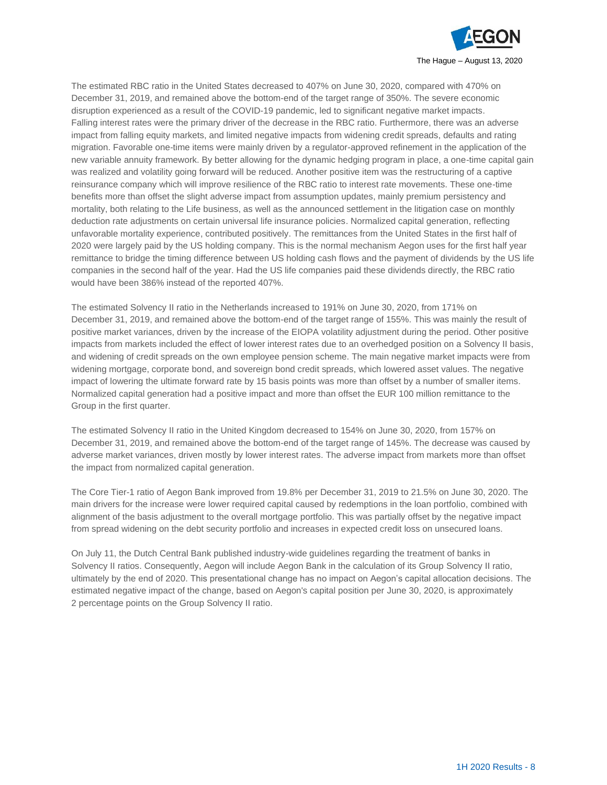

The estimated RBC ratio in the United States decreased to 407% on June 30, 2020, compared with 470% on December 31, 2019, and remained above the bottom-end of the target range of 350%. The severe economic disruption experienced as a result of the COVID-19 pandemic, led to significant negative market impacts. Falling interest rates were the primary driver of the decrease in the RBC ratio. Furthermore, there was an adverse impact from falling equity markets, and limited negative impacts from widening credit spreads, defaults and rating migration. Favorable one-time items were mainly driven by a regulator-approved refinement in the application of the new variable annuity framework. By better allowing for the dynamic hedging program in place, a one-time capital gain was realized and volatility going forward will be reduced. Another positive item was the restructuring of a captive reinsurance company which will improve resilience of the RBC ratio to interest rate movements. These one-time benefits more than offset the slight adverse impact from assumption updates, mainly premium persistency and mortality, both relating to the Life business, as well as the announced settlement in the litigation case on monthly deduction rate adjustments on certain universal life insurance policies. Normalized capital generation, reflecting unfavorable mortality experience, contributed positively. The remittances from the United States in the first half of 2020 were largely paid by the US holding company. This is the normal mechanism Aegon uses for the first half year remittance to bridge the timing difference between US holding cash flows and the payment of dividends by the US life companies in the second half of the year. Had the US life companies paid these dividends directly, the RBC ratio would have been 386% instead of the reported 407%.

The estimated Solvency II ratio in the Netherlands increased to 191% on June 30, 2020, from 171% on December 31, 2019, and remained above the bottom-end of the target range of 155%. This was mainly the result of positive market variances, driven by the increase of the EIOPA volatility adjustment during the period. Other positive impacts from markets included the effect of lower interest rates due to an overhedged position on a Solvency II basis, and widening of credit spreads on the own employee pension scheme. The main negative market impacts were from widening mortgage, corporate bond, and sovereign bond credit spreads, which lowered asset values. The negative impact of lowering the ultimate forward rate by 15 basis points was more than offset by a number of smaller items. Normalized capital generation had a positive impact and more than offset the EUR 100 million remittance to the Group in the first quarter.

The estimated Solvency II ratio in the United Kingdom decreased to 154% on June 30, 2020, from 157% on December 31, 2019, and remained above the bottom-end of the target range of 145%. The decrease was caused by adverse market variances, driven mostly by lower interest rates. The adverse impact from markets more than offset the impact from normalized capital generation.

The Core Tier-1 ratio of Aegon Bank improved from 19.8% per December 31, 2019 to 21.5% on June 30, 2020. The main drivers for the increase were lower required capital caused by redemptions in the loan portfolio, combined with alignment of the basis adjustment to the overall mortgage portfolio. This was partially offset by the negative impact from spread widening on the debt security portfolio and increases in expected credit loss on unsecured loans.

On July 11, the Dutch Central Bank published industry-wide guidelines regarding the treatment of banks in Solvency II ratios. Consequently, Aegon will include Aegon Bank in the calculation of its Group Solvency II ratio, ultimately by the end of 2020. This presentational change has no impact on Aegon's capital allocation decisions. The estimated negative impact of the change, based on Aegon's capital position per June 30, 2020, is approximately 2 percentage points on the Group Solvency II ratio.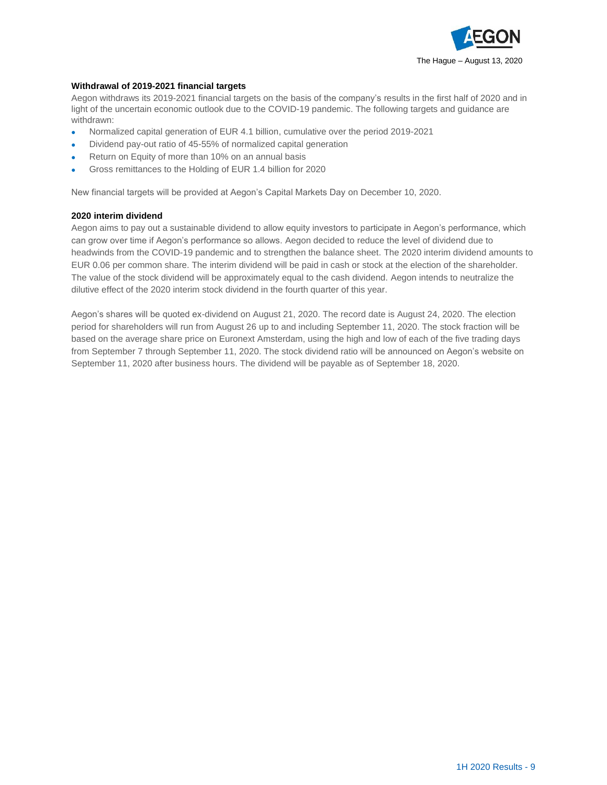

#### **Withdrawal of 2019-2021 financial targets**

Aegon withdraws its 2019-2021 financial targets on the basis of the company's results in the first half of 2020 and in light of the uncertain economic outlook due to the COVID-19 pandemic. The following targets and guidance are withdrawn:

- Normalized capital generation of EUR 4.1 billion, cumulative over the period 2019-2021
- Dividend pay-out ratio of 45-55% of normalized capital generation
- Return on Equity of more than 10% on an annual basis
- Gross remittances to the Holding of EUR 1.4 billion for 2020

New financial targets will be provided at Aegon's Capital Markets Day on December 10, 2020.

#### **2020 interim dividend**

Aegon aims to pay out a sustainable dividend to allow equity investors to participate in Aegon's performance, which can grow over time if Aegon's performance so allows. Aegon decided to reduce the level of dividend due to headwinds from the COVID-19 pandemic and to strengthen the balance sheet. The 2020 interim dividend amounts to EUR 0.06 per common share. The interim dividend will be paid in cash or stock at the election of the shareholder. The value of the stock dividend will be approximately equal to the cash dividend. Aegon intends to neutralize the dilutive effect of the 2020 interim stock dividend in the fourth quarter of this year.

Aegon's shares will be quoted ex-dividend on August 21, 2020. The record date is August 24, 2020. The election period for shareholders will run from August 26 up to and including September 11, 2020. The stock fraction will be based on the average share price on Euronext Amsterdam, using the high and low of each of the five trading days from September 7 through September 11, 2020. The stock dividend ratio will be announced on Aegon's website on September 11, 2020 after business hours. The dividend will be payable as of September 18, 2020.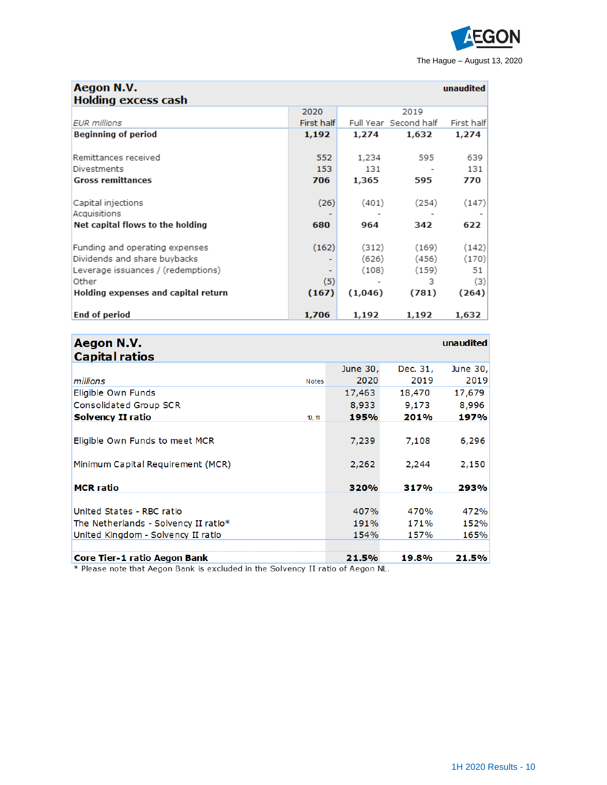

| Aegon N.V.<br><b>Holding excess cash</b> |            |         |                       | unaudited  |
|------------------------------------------|------------|---------|-----------------------|------------|
|                                          | 2020       |         | 2019                  |            |
| <b>EUR</b> millions                      | First half |         | Full Year Second half | First half |
| Beginning of period                      | 1,192      | 1,274   | 1,632                 | 1,274      |
|                                          |            |         |                       |            |
| Remittances received                     | 552        | 1,234   | 595                   | 639        |
| Divestments                              | 153        | 131     |                       | 131        |
| <b>Gross remittances</b>                 | 706        | 1,365   | 595                   | 770        |
|                                          |            |         |                       |            |
| Capital injections<br>Acquisitions       | (26)       | (401)   | (254)                 | (147)      |
|                                          | 680        | 964     | 342                   | 622        |
| Net capital flows to the holding         |            |         |                       |            |
| Funding and operating expenses           | (162)      | (312)   | (169)                 | (142)      |
| Dividends and share buybacks             | ۰          | (626)   | (456)                 | (170)      |
| Leverage issuances / (redemptions)       | ۰          | (108)   | (159)                 | 51         |
| Other                                    | (5)        |         | з                     | (3)        |
| Holding expenses and capital return      | (167)      | (1,046) | (781)                 | (264)      |
| <b>End of period</b>                     | 1,706      | 1,192   | 1,192                 | 1,632      |

| Aegon N.V.<br><b>Capital ratios</b>     |              |          |          | unaudited |
|-----------------------------------------|--------------|----------|----------|-----------|
|                                         |              | June 30, | Dec. 31, | June 30,  |
| millions                                | <b>Notes</b> | 2020     | 2019     | 2019      |
| Eligible Own Funds                      |              | 17,463   | 18,470   | 17,679    |
| Consolidated Group SCR                  |              | 8,933    | 9,173    | 8,996     |
| <b>Solvency II ratio</b>                | 10, 11       | 195%     | 201%     | 197%      |
|                                         |              |          |          |           |
| Eligible Own Funds to meet MCR          |              | 7,239    | 7,108    | 6,296     |
| Minimum Capital Requirement (MCR)       |              | 2,262    | 2,244    | 2,150     |
| <b>MCR</b> ratio                        |              | 320%     | 317%     | 293%      |
|                                         |              |          |          |           |
| United States - RBC ratio               |              | 407%     | 470%     | 472%      |
| The Netherlands - Solvency II ratio $*$ |              | 191%     | 171%     | 152%      |
| United Kingdom - Solvency II ratio      |              | 154%     | 157%     | 165%      |
|                                         |              |          |          |           |
| <b>Core Tier-1 ratio Aegon Bank</b>     |              | 21.5%    | 19.8%    | 21.5%     |

\* Please note that Aegon Bank is excluded in the Solvency II ratio of Aegon NL.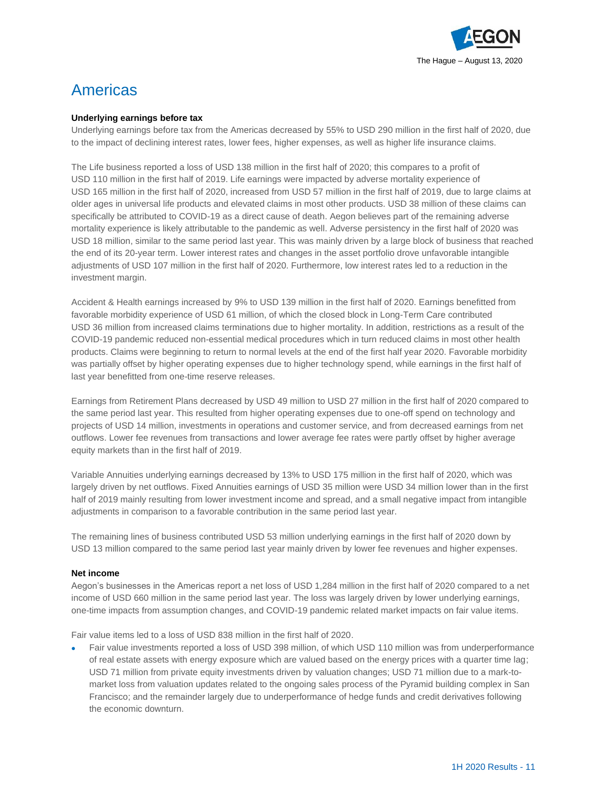

# Americas

#### **Underlying earnings before tax**

Underlying earnings before tax from the Americas decreased by 55% to USD 290 million in the first half of 2020, due to the impact of declining interest rates, lower fees, higher expenses, as well as higher life insurance claims.

The Life business reported a loss of USD 138 million in the first half of 2020; this compares to a profit of USD 110 million in the first half of 2019. Life earnings were impacted by adverse mortality experience of USD 165 million in the first half of 2020, increased from USD 57 million in the first half of 2019, due to large claims at older ages in universal life products and elevated claims in most other products. USD 38 million of these claims can specifically be attributed to COVID-19 as a direct cause of death. Aegon believes part of the remaining adverse mortality experience is likely attributable to the pandemic as well. Adverse persistency in the first half of 2020 was USD 18 million, similar to the same period last year. This was mainly driven by a large block of business that reached the end of its 20-year term. Lower interest rates and changes in the asset portfolio drove unfavorable intangible adjustments of USD 107 million in the first half of 2020. Furthermore, low interest rates led to a reduction in the investment margin.

Accident & Health earnings increased by 9% to USD 139 million in the first half of 2020. Earnings benefitted from favorable morbidity experience of USD 61 million, of which the closed block in Long-Term Care contributed USD 36 million from increased claims terminations due to higher mortality. In addition, restrictions as a result of the COVID-19 pandemic reduced non-essential medical procedures which in turn reduced claims in most other health products. Claims were beginning to return to normal levels at the end of the first half year 2020. Favorable morbidity was partially offset by higher operating expenses due to higher technology spend, while earnings in the first half of last year benefitted from one-time reserve releases.

Earnings from Retirement Plans decreased by USD 49 million to USD 27 million in the first half of 2020 compared to the same period last year. This resulted from higher operating expenses due to one-off spend on technology and projects of USD 14 million, investments in operations and customer service, and from decreased earnings from net outflows. Lower fee revenues from transactions and lower average fee rates were partly offset by higher average equity markets than in the first half of 2019.

Variable Annuities underlying earnings decreased by 13% to USD 175 million in the first half of 2020, which was largely driven by net outflows. Fixed Annuities earnings of USD 35 million were USD 34 million lower than in the first half of 2019 mainly resulting from lower investment income and spread, and a small negative impact from intangible adjustments in comparison to a favorable contribution in the same period last year.

The remaining lines of business contributed USD 53 million underlying earnings in the first half of 2020 down by USD 13 million compared to the same period last year mainly driven by lower fee revenues and higher expenses.

#### **Net income**

Aegon's businesses in the Americas report a net loss of USD 1,284 million in the first half of 2020 compared to a net income of USD 660 million in the same period last year. The loss was largely driven by lower underlying earnings, one-time impacts from assumption changes, and COVID-19 pandemic related market impacts on fair value items.

Fair value items led to a loss of USD 838 million in the first half of 2020.

• Fair value investments reported a loss of USD 398 million, of which USD 110 million was from underperformance of real estate assets with energy exposure which are valued based on the energy prices with a quarter time lag; USD 71 million from private equity investments driven by valuation changes; USD 71 million due to a mark-tomarket loss from valuation updates related to the ongoing sales process of the Pyramid building complex in San Francisco; and the remainder largely due to underperformance of hedge funds and credit derivatives following the economic downturn.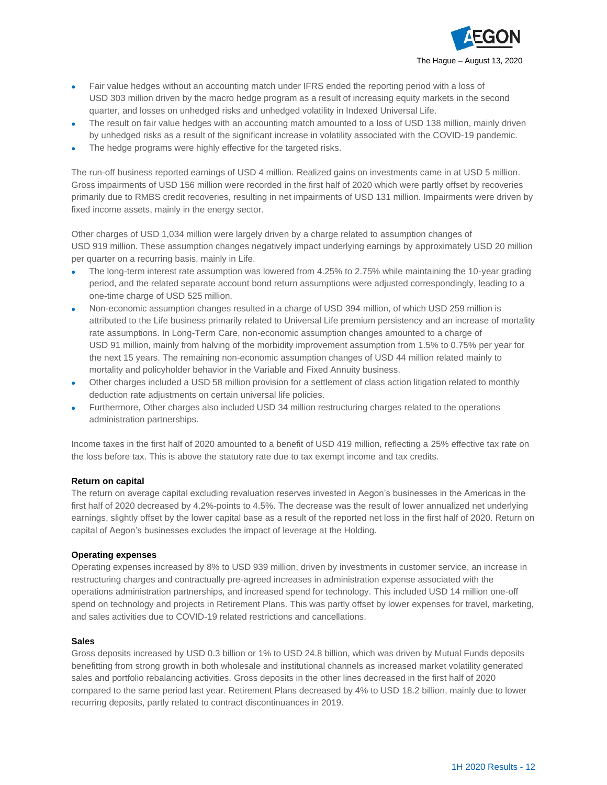

- Fair value hedges without an accounting match under IFRS ended the reporting period with a loss of USD 303 million driven by the macro hedge program as a result of increasing equity markets in the second quarter, and losses on unhedged risks and unhedged volatility in Indexed Universal Life.
- The result on fair value hedges with an accounting match amounted to a loss of USD 138 million, mainly driven by unhedged risks as a result of the significant increase in volatility associated with the COVID-19 pandemic.
- The hedge programs were highly effective for the targeted risks.

The run-off business reported earnings of USD 4 million. Realized gains on investments came in at USD 5 million. Gross impairments of USD 156 million were recorded in the first half of 2020 which were partly offset by recoveries primarily due to RMBS credit recoveries, resulting in net impairments of USD 131 million. Impairments were driven by fixed income assets, mainly in the energy sector.

Other charges of USD 1,034 million were largely driven by a charge related to assumption changes of USD 919 million. These assumption changes negatively impact underlying earnings by approximately USD 20 million per quarter on a recurring basis, mainly in Life.

- The long-term interest rate assumption was lowered from 4.25% to 2.75% while maintaining the 10-year grading period, and the related separate account bond return assumptions were adjusted correspondingly, leading to a one-time charge of USD 525 million.
- Non-economic assumption changes resulted in a charge of USD 394 million, of which USD 259 million is attributed to the Life business primarily related to Universal Life premium persistency and an increase of mortality rate assumptions. In Long-Term Care, non-economic assumption changes amounted to a charge of USD 91 million, mainly from halving of the morbidity improvement assumption from 1.5% to 0.75% per year for the next 15 years. The remaining non-economic assumption changes of USD 44 million related mainly to mortality and policyholder behavior in the Variable and Fixed Annuity business.
- Other charges included a USD 58 million provision for a settlement of class action litigation related to monthly deduction rate adjustments on certain universal life policies.
- Furthermore, Other charges also included USD 34 million restructuring charges related to the operations administration partnerships.

Income taxes in the first half of 2020 amounted to a benefit of USD 419 million, reflecting a 25% effective tax rate on the loss before tax. This is above the statutory rate due to tax exempt income and tax credits.

#### **Return on capital**

The return on average capital excluding revaluation reserves invested in Aegon's businesses in the Americas in the first half of 2020 decreased by 4.2%-points to 4.5%. The decrease was the result of lower annualized net underlying earnings, slightly offset by the lower capital base as a result of the reported net loss in the first half of 2020. Return on capital of Aegon's businesses excludes the impact of leverage at the Holding.

#### **Operating expenses**

Operating expenses increased by 8% to USD 939 million, driven by investments in customer service, an increase in restructuring charges and contractually pre-agreed increases in administration expense associated with the operations administration partnerships, and increased spend for technology. This included USD 14 million one-off spend on technology and projects in Retirement Plans. This was partly offset by lower expenses for travel, marketing, and sales activities due to COVID-19 related restrictions and cancellations.

#### **Sales**

Gross deposits increased by USD 0.3 billion or 1% to USD 24.8 billion, which was driven by Mutual Funds deposits benefitting from strong growth in both wholesale and institutional channels as increased market volatility generated sales and portfolio rebalancing activities. Gross deposits in the other lines decreased in the first half of 2020 compared to the same period last year. Retirement Plans decreased by 4% to USD 18.2 billion, mainly due to lower recurring deposits, partly related to contract discontinuances in 2019.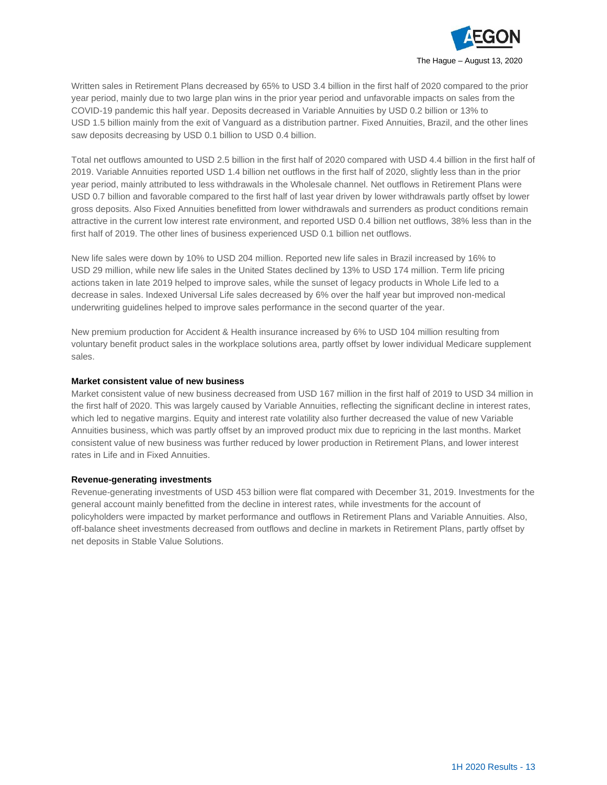

Written sales in Retirement Plans decreased by 65% to USD 3.4 billion in the first half of 2020 compared to the prior year period, mainly due to two large plan wins in the prior year period and unfavorable impacts on sales from the COVID-19 pandemic this half year. Deposits decreased in Variable Annuities by USD 0.2 billion or 13% to USD 1.5 billion mainly from the exit of Vanguard as a distribution partner. Fixed Annuities, Brazil, and the other lines saw deposits decreasing by USD 0.1 billion to USD 0.4 billion.

Total net outflows amounted to USD 2.5 billion in the first half of 2020 compared with USD 4.4 billion in the first half of 2019. Variable Annuities reported USD 1.4 billion net outflows in the first half of 2020, slightly less than in the prior year period, mainly attributed to less withdrawals in the Wholesale channel. Net outflows in Retirement Plans were USD 0.7 billion and favorable compared to the first half of last year driven by lower withdrawals partly offset by lower gross deposits. Also Fixed Annuities benefitted from lower withdrawals and surrenders as product conditions remain attractive in the current low interest rate environment, and reported USD 0.4 billion net outflows, 38% less than in the first half of 2019. The other lines of business experienced USD 0.1 billion net outflows.

New life sales were down by 10% to USD 204 million. Reported new life sales in Brazil increased by 16% to USD 29 million, while new life sales in the United States declined by 13% to USD 174 million. Term life pricing actions taken in late 2019 helped to improve sales, while the sunset of legacy products in Whole Life led to a decrease in sales. Indexed Universal Life sales decreased by 6% over the half year but improved non-medical underwriting guidelines helped to improve sales performance in the second quarter of the year.

New premium production for Accident & Health insurance increased by 6% to USD 104 million resulting from voluntary benefit product sales in the workplace solutions area, partly offset by lower individual Medicare supplement sales.

#### **Market consistent value of new business**

Market consistent value of new business decreased from USD 167 million in the first half of 2019 to USD 34 million in the first half of 2020. This was largely caused by Variable Annuities, reflecting the significant decline in interest rates, which led to negative margins. Equity and interest rate volatility also further decreased the value of new Variable Annuities business, which was partly offset by an improved product mix due to repricing in the last months. Market consistent value of new business was further reduced by lower production in Retirement Plans, and lower interest rates in Life and in Fixed Annuities.

#### **Revenue-generating investments**

Revenue-generating investments of USD 453 billion were flat compared with December 31, 2019. Investments for the general account mainly benefitted from the decline in interest rates, while investments for the account of policyholders were impacted by market performance and outflows in Retirement Plans and Variable Annuities. Also, off-balance sheet investments decreased from outflows and decline in markets in Retirement Plans, partly offset by net deposits in Stable Value Solutions.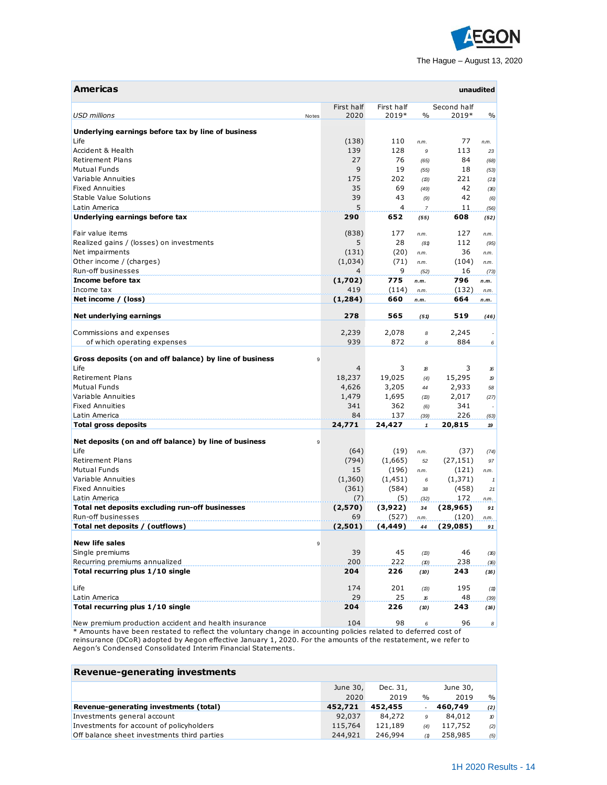

| <b>Americas</b>                                                                                                 |       |                    |                     |                     |                      | unaudited        |
|-----------------------------------------------------------------------------------------------------------------|-------|--------------------|---------------------|---------------------|----------------------|------------------|
| <b>USD millions</b>                                                                                             | Notes | First half<br>2020 | First half<br>2019* | $\%$                | Second half<br>2019* | $\%$             |
|                                                                                                                 |       |                    |                     |                     |                      |                  |
| Underlying earnings before tax by line of business                                                              |       |                    |                     |                     |                      |                  |
| Life                                                                                                            |       | (138)              | 110                 | n.m.                | 77                   | n.m.             |
| Accident & Health                                                                                               |       | 139                | 128                 | $\mathcal{G}$       | 113                  | 23               |
| <b>Retirement Plans</b>                                                                                         |       | 27                 | 76                  | (65)                | 84                   | (68)             |
| <b>Mutual Funds</b>                                                                                             |       | 9                  | 19                  | (55)                | 18                   | (53)             |
| Variable Annuities                                                                                              |       | 175                | 202                 | (B)                 | 221                  | (21)             |
| <b>Fixed Annuities</b>                                                                                          |       | 35                 | 69                  | (49)                | 42                   | (16)             |
| Stable Value Solutions                                                                                          |       | 39                 | 43                  | (9)                 | 42                   | (6)              |
| Latin America                                                                                                   |       | 5                  | 4                   | $\boldsymbol{7}$    | 11                   | (56)             |
| Underlying earnings before tax                                                                                  |       | 290                | 652                 | (55)                | 608                  | (52)             |
| Fair value items                                                                                                |       | (838)              | 177                 | n.m.                | 127                  | n.m.             |
| Realized gains / (losses) on investments                                                                        |       | 5                  | 28                  | (81)                | 112                  | (95)             |
| Net impairments                                                                                                 |       | (131)              | (20)                | n.m.                | 36                   | n.m.             |
| Other income / (charges)                                                                                        |       | (1,034)            | (71)                | n.m.                | (104)                | n.m.             |
| Run-off businesses                                                                                              |       | 4                  | 9                   | (52)                | 16                   | (73)             |
| Income before tax                                                                                               |       | (1,702)            | 775                 | n.m.                | 796                  | n.m.             |
| Income tax                                                                                                      |       | 419                | (114)               | n.m.                | (132)                | n.m.             |
| Net income / (loss)                                                                                             |       | (1, 284)           | 660                 | n.m.                | 664                  | n.m.             |
|                                                                                                                 |       |                    |                     |                     |                      |                  |
| Net underlying earnings                                                                                         |       | 278                | 565                 | (51)                | 519                  | (46)             |
| Commissions and expenses                                                                                        |       | 2,239              | 2,078               | 8                   | 2,245                |                  |
| of which operating expenses                                                                                     |       | 939                | 872                 | 8                   | 884                  | 6                |
|                                                                                                                 |       |                    |                     |                     |                      |                  |
| Gross deposits (on and off balance) by line of business                                                         | 9     |                    |                     |                     |                      |                  |
| Life                                                                                                            |       | $\overline{4}$     | 3                   | 18                  | 3                    | 16               |
| <b>Retirement Plans</b>                                                                                         |       | 18,237             | 19,025              | (4)                 | 15,295               | $\boldsymbol{p}$ |
| <b>Mutual Funds</b>                                                                                             |       | 4,626              | 3,205               | 44                  | 2,933                | 58               |
| Variable Annuities                                                                                              |       | 1,479              | 1,695               | (13)                | 2,017                | (27)             |
| <b>Fixed Annuities</b>                                                                                          |       | 341                | 362                 | (6)                 | 341                  |                  |
| Latin America                                                                                                   |       | 84                 | 137                 | (39)                | 226                  | (63)             |
| <b>Total gross deposits</b>                                                                                     |       | 24,771             | 24,427              | $\mathbf{1}$        | 20,815               | 19               |
| Net deposits (on and off balance) by line of business                                                           | 9     |                    |                     |                     |                      |                  |
| Life                                                                                                            |       | (64)               | (19)                | n.m.                | (37)                 | (74)             |
| <b>Retirement Plans</b>                                                                                         |       | (794)              | (1,665)             | 52                  | (27, 151)            | 97               |
| <b>Mutual Funds</b>                                                                                             |       | 15                 | (196)               | n.m.                | (121)                | n.m.             |
| Variable Annuities                                                                                              |       | (1,360)            | (1, 451)            | 6                   | (1, 371)             | $\mathbf{1}$     |
| <b>Fixed Annuities</b>                                                                                          |       | (361)              | (584)               | 38                  | (458)                | 21               |
| Latin America                                                                                                   |       | (7)                | (5)                 | (32)                | 172                  | n.m.             |
| Total net deposits excluding run-off businesses                                                                 |       | (2,570)            | (3,922)             | 34                  | (28,965)             | 91               |
| Run-off businesses                                                                                              |       | 69                 | (527)               |                     | (120)                |                  |
|                                                                                                                 |       | (2,501)            |                     | n.m.                |                      | n.m.<br>91       |
| Total net deposits / (outflows)                                                                                 |       |                    | (4, 449)            | 44                  | (29,085)             |                  |
| <b>New life sales</b>                                                                                           | 9     |                    |                     |                     |                      |                  |
| Single premiums                                                                                                 |       | 39                 | 45                  | (13)                | 46                   | (16)             |
| Recurring premiums annualized                                                                                   |       | 200                | 222                 | (D)                 | 238                  | (16)             |
| Total recurring plus 1/10 single                                                                                |       | 204                | 226                 | (10)                | 243                  | (16)             |
| Life                                                                                                            |       | 174                | 201                 | (B)                 | 195                  | (11)             |
| Latin America                                                                                                   |       | 29                 | 25                  | $\pmb{\mathcal{E}}$ | 48                   |                  |
| Total recurring plus 1/10 single                                                                                |       | 204                | 226                 | (10)                | 243                  | (39)<br>(16)     |
|                                                                                                                 |       |                    |                     |                     |                      |                  |
| New premium production accident and health insurance                                                            |       | 104                | 98                  | 6                   | 96                   | 8 <sup>1</sup>   |
| * Amounts have been restated to reflect the voluntary change in accounting policies related to deferred cost of |       |                    |                     |                     |                      |                  |

reinsurance (DCoR) adopted by Aegon effective January 1, 2020. For the amounts of the restatement, we refer to Aegon's Condensed Consolidated Interim Financial Statements.

| <b>Revenue-generating investments</b>       |          |          |                       |          |               |
|---------------------------------------------|----------|----------|-----------------------|----------|---------------|
|                                             | June 30, | Dec. 31, |                       | June 30, |               |
|                                             | 2020     | 2019     | $\%$                  | 2019     | $\frac{9}{6}$ |
| Revenue-generating investments (total)      | 452,721  | 452,455  | $\tilde{\phantom{a}}$ | 460,749  | (2)           |
| Investments general account                 | 92,037   | 84,272   | 9                     | 84,012   | $\mathcal{D}$ |
| Investments for account of policyholders    | 115,764  | 121,189  | (4)                   | 117,752  | (2)           |
| Off balance sheet investments third parties | 244,921  | 246,994  | (1)                   | 258,985  | (5)           |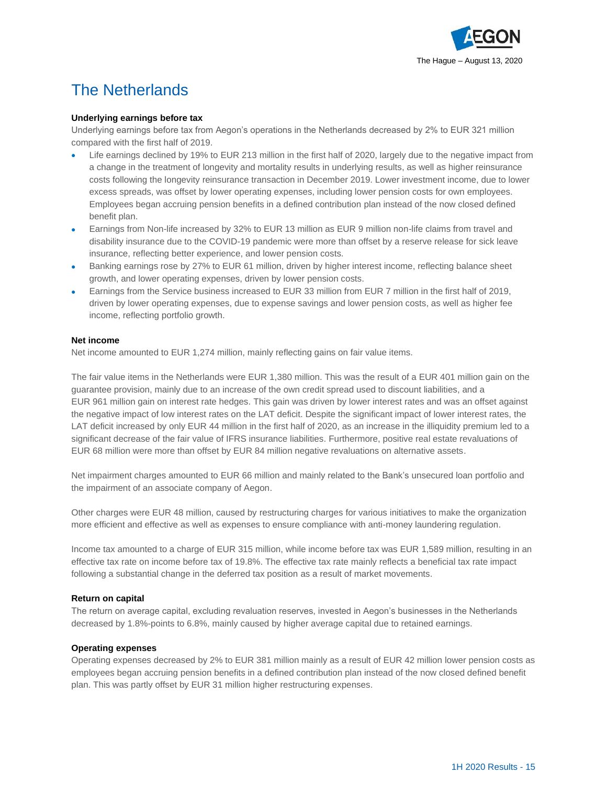

# The Netherlands

#### **Underlying earnings before tax**

Underlying earnings before tax from Aegon's operations in the Netherlands decreased by 2% to EUR 321 million compared with the first half of 2019.

- Life earnings declined by 19% to EUR 213 million in the first half of 2020, largely due to the negative impact from a change in the treatment of longevity and mortality results in underlying results, as well as higher reinsurance costs following the longevity reinsurance transaction in December 2019. Lower investment income, due to lower excess spreads, was offset by lower operating expenses, including lower pension costs for own employees. Employees began accruing pension benefits in a defined contribution plan instead of the now closed defined benefit plan.
- Earnings from Non-life increased by 32% to EUR 13 million as EUR 9 million non-life claims from travel and disability insurance due to the COVID-19 pandemic were more than offset by a reserve release for sick leave insurance, reflecting better experience, and lower pension costs.
- Banking earnings rose by 27% to EUR 61 million, driven by higher interest income, reflecting balance sheet growth, and lower operating expenses, driven by lower pension costs.
- Earnings from the Service business increased to EUR 33 million from EUR 7 million in the first half of 2019, driven by lower operating expenses, due to expense savings and lower pension costs, as well as higher fee income, reflecting portfolio growth.

#### **Net income**

Net income amounted to EUR 1,274 million, mainly reflecting gains on fair value items.

The fair value items in the Netherlands were EUR 1,380 million. This was the result of a EUR 401 million gain on the guarantee provision, mainly due to an increase of the own credit spread used to discount liabilities, and a EUR 961 million gain on interest rate hedges. This gain was driven by lower interest rates and was an offset against the negative impact of low interest rates on the LAT deficit. Despite the significant impact of lower interest rates, the LAT deficit increased by only EUR 44 million in the first half of 2020, as an increase in the illiquidity premium led to a significant decrease of the fair value of IFRS insurance liabilities. Furthermore, positive real estate revaluations of EUR 68 million were more than offset by EUR 84 million negative revaluations on alternative assets.

Net impairment charges amounted to EUR 66 million and mainly related to the Bank's unsecured loan portfolio and the impairment of an associate company of Aegon.

Other charges were EUR 48 million, caused by restructuring charges for various initiatives to make the organization more efficient and effective as well as expenses to ensure compliance with anti-money laundering regulation.

Income tax amounted to a charge of EUR 315 million, while income before tax was EUR 1,589 million, resulting in an effective tax rate on income before tax of 19.8%. The effective tax rate mainly reflects a beneficial tax rate impact following a substantial change in the deferred tax position as a result of market movements.

#### **Return on capital**

The return on average capital, excluding revaluation reserves, invested in Aegon's businesses in the Netherlands decreased by 1.8%-points to 6.8%, mainly caused by higher average capital due to retained earnings.

#### **Operating expenses**

Operating expenses decreased by 2% to EUR 381 million mainly as a result of EUR 42 million lower pension costs as employees began accruing pension benefits in a defined contribution plan instead of the now closed defined benefit plan. This was partly offset by EUR 31 million higher restructuring expenses.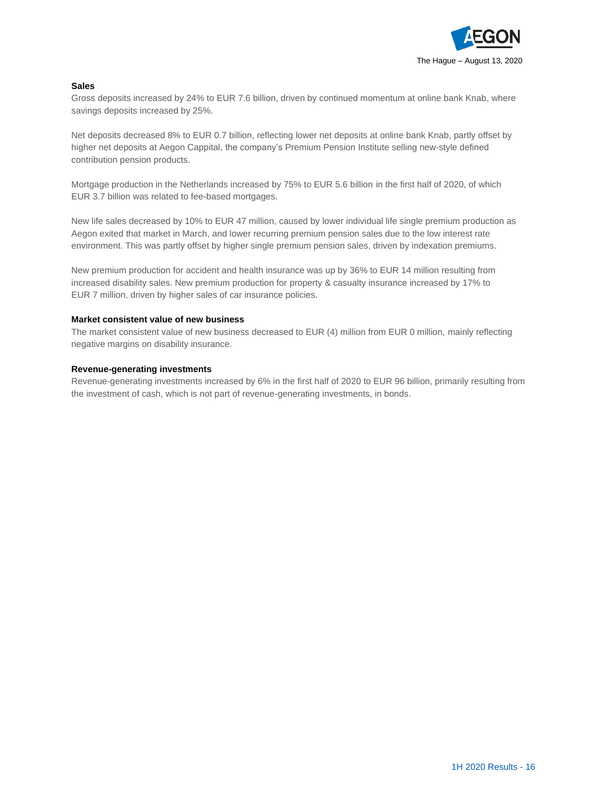

#### **Sales**

Gross deposits increased by 24% to EUR 7.6 billion, driven by continued momentum at online bank Knab, where savings deposits increased by 25%.

Net deposits decreased 8% to EUR 0.7 billion, reflecting lower net deposits at online bank Knab, partly offset by higher net deposits at Aegon Cappital, the company's Premium Pension Institute selling new-style defined contribution pension products.

Mortgage production in the Netherlands increased by 75% to EUR 5.6 billion in the first half of 2020, of which EUR 3.7 billion was related to fee-based mortgages.

New life sales decreased by 10% to EUR 47 million, caused by lower individual life single premium production as Aegon exited that market in March, and lower recurring premium pension sales due to the low interest rate environment. This was partly offset by higher single premium pension sales, driven by indexation premiums.

New premium production for accident and health insurance was up by 36% to EUR 14 million resulting from increased disability sales. New premium production for property & casualty insurance increased by 17% to EUR 7 million, driven by higher sales of car insurance policies.

#### **Market consistent value of new business**

The market consistent value of new business decreased to EUR (4) million from EUR 0 million, mainly reflecting negative margins on disability insurance.

#### **Revenue-generating investments**

Revenue-generating investments increased by 6% in the first half of 2020 to EUR 96 billion, primarily resulting from the investment of cash, which is not part of revenue-generating investments, in bonds.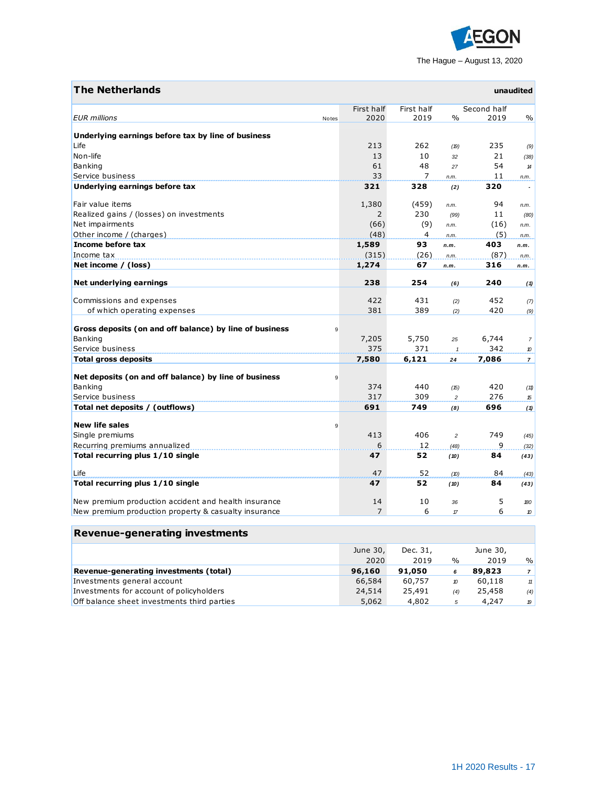

| <b>The Netherlands</b>                                            |                |              |                    |              | unaudited                  |
|-------------------------------------------------------------------|----------------|--------------|--------------------|--------------|----------------------------|
|                                                                   | First half     | First half   |                    | Second half  |                            |
| <b>EUR</b> millions<br>Notes                                      | 2020           | 2019         | $\frac{0}{0}$      | 2019         | $\frac{0}{0}$              |
| Underlying earnings before tax by line of business                |                |              |                    |              |                            |
| Life                                                              | 213            | 262          | (19)               | 235          | (9)                        |
| Non-life                                                          | 13             | 10           | 32                 | 21           | (38)                       |
| Banking                                                           | 61             | 48           | 27                 | 54           | $\boldsymbol{\mathcal{H}}$ |
| Service business                                                  | 33             | 7            | n.m.               | 11           | n.m.                       |
| Underlying earnings before tax                                    | 321            | 328          | (2)                | 320          |                            |
| Fair value items                                                  | 1,380          | (459)        |                    | 94           |                            |
| Realized gains / (losses) on investments                          | $\overline{2}$ | 230          | n.m.               | 11           | n.m.                       |
| Net impairments                                                   | (66)           | (9)          | (99)               | (16)         | (80)                       |
| Other income / (charges)                                          | (48)           | 4            | n.m.<br>n.m.       | (5)          | n.m.<br>n.m.               |
| Income before tax                                                 | 1,589          | 93           | n.m.               | 403          | n.m.                       |
| Income tax                                                        | (315)          | (26)         | n.m.               | (87)         | n.m.                       |
| Net income / (loss)                                               | 1,274          | 67           | n.m.               | 316          | n.m.                       |
|                                                                   |                |              |                    |              |                            |
| Net underlying earnings                                           | 238            | 254          | (6)                | 240          | (1)                        |
| Commissions and expenses                                          | 422            | 431          | (2)                | 452          | (7)                        |
| of which operating expenses                                       | 381            | 389          | (2)                | 420          | (9)                        |
|                                                                   |                |              |                    |              |                            |
| Gross deposits (on and off balance) by line of business<br>9      |                |              |                    |              |                            |
| Banking<br>Service business                                       | 7,205<br>375   | 5,750<br>371 | 25                 | 6,744<br>342 | $\overline{7}$             |
| <b>Total gross deposits</b>                                       | 7,580          | 6,121        | $\mathbf{1}$<br>24 | 7,086        | 10<br>$\overline{7}$       |
|                                                                   |                |              |                    |              |                            |
| Net deposits (on and off balance) by line of business<br>9        |                |              |                    |              |                            |
| Banking                                                           | 374            | 440          | (15)               | 420          | (11)                       |
| Service business                                                  | 317            | 309          | $\overline{c}$     | 276          | 15                         |
| Total net deposits / (outflows)                                   | 691            | 749          | (8)                | 696          | (1)                        |
|                                                                   |                |              |                    |              |                            |
| <b>New life sales</b><br>9                                        |                |              |                    |              |                            |
| Single premiums                                                   | 413            | 406          | $\overline{c}$     | 749          | (45)                       |
| Recurring premiums annualized<br>Total recurring plus 1/10 single | 6              | 12           | (48)               | 9            | (32)                       |
|                                                                   | 47             | 52           | (10)               | 84           | (43)                       |
| Life                                                              | 47             | 52           | (10)               | 84           | (43)                       |
| Total recurring plus 1/10 single                                  | 47             | 52           | (10)               | 84           | (43)                       |
| New premium production accident and health insurance              | 14             | 10           | 36                 | 5            | 180                        |
| New premium production property & casualty insurance              | $\overline{7}$ | 6            | $\pi$              | 6            | 10                         |
|                                                                   |                |              |                    |              |                            |

п

| <b>Revenue-generating investments</b>       |          |          |      |          |                |
|---------------------------------------------|----------|----------|------|----------|----------------|
|                                             | June 30, | Dec. 31, |      | June 30, |                |
|                                             | 2020     | 2019     | $\%$ | 2019     | $\frac{9}{0}$  |
| Revenue-generating investments (total)      | 96,160   | 91,050   | 6    | 89,823   | $\overline{7}$ |
| Investments general account                 | 66,584   | 60,757   | 10   | 60,118   | 11             |
| Investments for account of policyholders    | 24,514   | 25,491   | (4)  | 25,458   | (4)            |
| Off balance sheet investments third parties | 5,062    | 4,802    | 5    | 4,247    | 19             |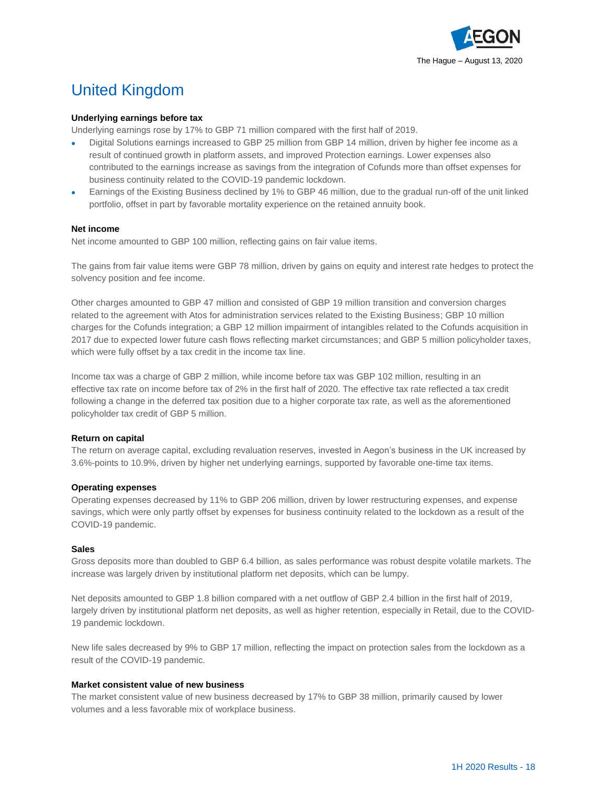

# United Kingdom

#### **Underlying earnings before tax**

Underlying earnings rose by 17% to GBP 71 million compared with the first half of 2019.

- Digital Solutions earnings increased to GBP 25 million from GBP 14 million, driven by higher fee income as a result of continued growth in platform assets, and improved Protection earnings. Lower expenses also contributed to the earnings increase as savings from the integration of Cofunds more than offset expenses for business continuity related to the COVID-19 pandemic lockdown.
- Earnings of the Existing Business declined by 1% to GBP 46 million, due to the gradual run-off of the unit linked portfolio, offset in part by favorable mortality experience on the retained annuity book.

#### **Net income**

Net income amounted to GBP 100 million, reflecting gains on fair value items.

The gains from fair value items were GBP 78 million, driven by gains on equity and interest rate hedges to protect the solvency position and fee income.

Other charges amounted to GBP 47 million and consisted of GBP 19 million transition and conversion charges related to the agreement with Atos for administration services related to the Existing Business; GBP 10 million charges for the Cofunds integration; a GBP 12 million impairment of intangibles related to the Cofunds acquisition in 2017 due to expected lower future cash flows reflecting market circumstances; and GBP 5 million policyholder taxes, which were fully offset by a tax credit in the income tax line.

Income tax was a charge of GBP 2 million, while income before tax was GBP 102 million, resulting in an effective tax rate on income before tax of 2% in the first half of 2020. The effective tax rate reflected a tax credit following a change in the deferred tax position due to a higher corporate tax rate, as well as the aforementioned policyholder tax credit of GBP 5 million.

#### **Return on capital**

The return on average capital, excluding revaluation reserves, invested in Aegon's business in the UK increased by 3.6%-points to 10.9%, driven by higher net underlying earnings, supported by favorable one-time tax items.

#### **Operating expenses**

Operating expenses decreased by 11% to GBP 206 million, driven by lower restructuring expenses, and expense savings, which were only partly offset by expenses for business continuity related to the lockdown as a result of the COVID-19 pandemic.

#### **Sales**

Gross deposits more than doubled to GBP 6.4 billion, as sales performance was robust despite volatile markets. The increase was largely driven by institutional platform net deposits, which can be lumpy.

Net deposits amounted to GBP 1.8 billion compared with a net outflow of GBP 2.4 billion in the first half of 2019, largely driven by institutional platform net deposits, as well as higher retention, especially in Retail, due to the COVID-19 pandemic lockdown.

New life sales decreased by 9% to GBP 17 million, reflecting the impact on protection sales from the lockdown as a result of the COVID-19 pandemic.

#### **Market consistent value of new business**

The market consistent value of new business decreased by 17% to GBP 38 million, primarily caused by lower volumes and a less favorable mix of workplace business.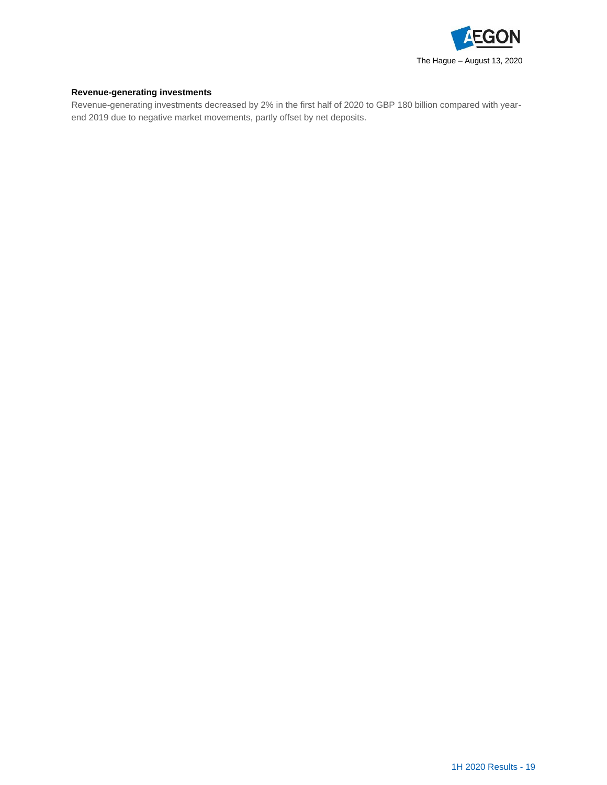

### **Revenue-generating investments**

Revenue-generating investments decreased by 2% in the first half of 2020 to GBP 180 billion compared with yearend 2019 due to negative market movements, partly offset by net deposits.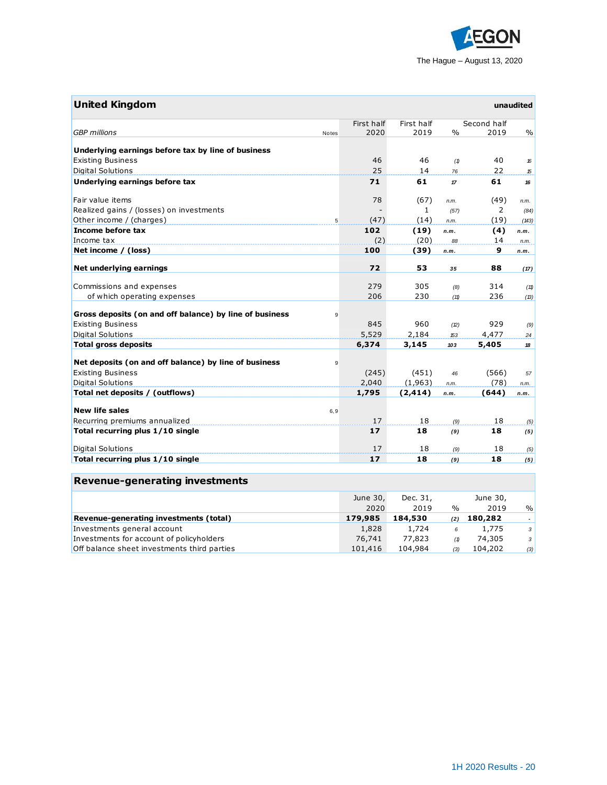

| <b>United Kingdom</b>                                        |            |              |        |             | unaudited     |
|--------------------------------------------------------------|------------|--------------|--------|-------------|---------------|
|                                                              | First half | First half   |        | Second half |               |
| <b>GBP</b> millions<br>Notes                                 | 2020       | 2019         | $\%$   | 2019        | $\frac{0}{0}$ |
|                                                              |            |              |        |             |               |
| Underlying earnings before tax by line of business           |            |              |        |             |               |
| <b>Existing Business</b>                                     | 46         | 46           | (1)    | 40          | 16            |
| <b>Digital Solutions</b>                                     | 25         | 14           | 76     | 22          | 15            |
| Underlying earnings before tax                               | 71         | 61           | $17\,$ | 61          | 16            |
| Fair value items                                             | 78         | (67)         | n.m.   | (49)        | n.m.          |
| Realized gains / (losses) on investments                     |            | $\mathbf{1}$ | (57)   | 2           | (84)          |
| Other income / (charges)<br>5                                | (47)       | (14)         | n.m.   | (19)        | (143)         |
| Income before tax                                            | 102        | (19)         | n.m.   | (4)         |               |
| Income tax                                                   | (2)        | (20)         | 88     | 14          | n.m.<br>n.m.  |
| Net income / (loss)                                          | 100        | (39)         | n.m.   | 9           | n.m.          |
|                                                              |            |              |        |             |               |
| Net underlying earnings                                      | 72         | 53           | 35     | 88          | (17)          |
|                                                              |            |              |        |             |               |
| Commissions and expenses                                     | 279        | 305          | (8)    | 314         | (11)          |
| of which operating expenses                                  | 206        | 230          | (11)   | 236         | (13)          |
| Gross deposits (on and off balance) by line of business<br>9 |            |              |        |             |               |
| <b>Existing Business</b>                                     | 845        | 960          | (2)    | 929         |               |
| <b>Digital Solutions</b>                                     | 5,529      | 2,184        | 153    | 4,477       | (9)<br>24     |
| <b>Total gross deposits</b>                                  | 6,374      | 3,145        | 103    | 5,405       | 18            |
|                                                              |            |              |        |             |               |
| Net deposits (on and off balance) by line of business<br>9   |            |              |        |             |               |
| <b>Existing Business</b>                                     | (245)      | (451)        | 46     | (566)       | 57            |
| Digital Solutions                                            | 2,040      | (1,963)      | n.m.   | (78)        | n.m.          |
| Total net deposits / (outflows)                              | 1,795      | (2, 414)     | n.m.   | (644)       | n.m.          |
|                                                              |            |              |        |             |               |
| <b>New life sales</b><br>6, 9                                |            |              |        |             |               |
| Recurring premiums annualized                                | 17         | 18           | (9)    | 18          | (5)           |
| Total recurring plus 1/10 single                             | 17         | 18           | (9)    | 18          | (5)           |
| <b>Digital Solutions</b>                                     | 17         | 18           | (9)    | 18          | (5)           |
| Total recurring plus 1/10 single                             | 17         | 18           | (9)    | 18          | (5)           |
|                                                              |            |              |        |             |               |
| <b>Revenue-generating investments</b>                        |            |              |        |             |               |
|                                                              | June 30,   | Dec. 31,     |        | June 30,    |               |
|                                                              | 2020       | 2019         | $\%$   | 2019        | $\%$          |
| Revenue-generating investments (total)                       | 179,985    | 184,530      | (2)    | 180,282     | $\omega$      |
| Investments general account                                  | 1,828      | 1,724        | 6      | 1,775       | 3             |
| Investments for account of policyholders                     | 76,741     | 77,823       | (1)    | 74,305      | 3             |

Off balance sheet investments third parties 101,416 104,984 *(3)* 104,202 *(3)*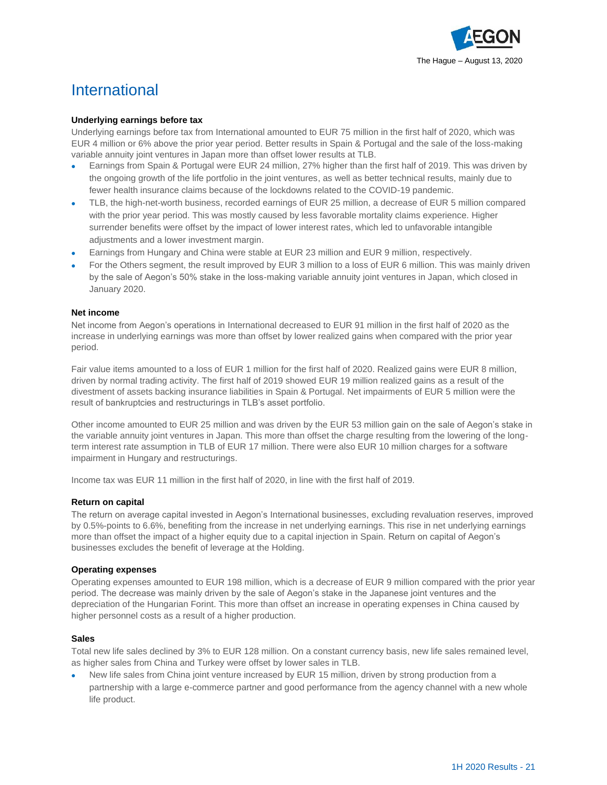

### International

#### **Underlying earnings before tax**

Underlying earnings before tax from International amounted to EUR 75 million in the first half of 2020, which was EUR 4 million or 6% above the prior year period. Better results in Spain & Portugal and the sale of the loss-making variable annuity joint ventures in Japan more than offset lower results at TLB.

- Earnings from Spain & Portugal were EUR 24 million, 27% higher than the first half of 2019. This was driven by the ongoing growth of the life portfolio in the joint ventures, as well as better technical results, mainly due to fewer health insurance claims because of the lockdowns related to the COVID-19 pandemic.
- TLB, the high-net-worth business, recorded earnings of EUR 25 million, a decrease of EUR 5 million compared with the prior year period. This was mostly caused by less favorable mortality claims experience. Higher surrender benefits were offset by the impact of lower interest rates, which led to unfavorable intangible adjustments and a lower investment margin.
- Earnings from Hungary and China were stable at EUR 23 million and EUR 9 million, respectively.
- For the Others segment, the result improved by EUR 3 million to a loss of EUR 6 million. This was mainly driven by the sale of Aegon's 50% stake in the loss-making variable annuity joint ventures in Japan, which closed in January 2020.

#### **Net income**

Net income from Aegon's operations in International decreased to EUR 91 million in the first half of 2020 as the increase in underlying earnings was more than offset by lower realized gains when compared with the prior year period.

Fair value items amounted to a loss of EUR 1 million for the first half of 2020. Realized gains were EUR 8 million, driven by normal trading activity. The first half of 2019 showed EUR 19 million realized gains as a result of the divestment of assets backing insurance liabilities in Spain & Portugal. Net impairments of EUR 5 million were the result of bankruptcies and restructurings in TLB's asset portfolio.

Other income amounted to EUR 25 million and was driven by the EUR 53 million gain on the sale of Aegon's stake in the variable annuity joint ventures in Japan. This more than offset the charge resulting from the lowering of the longterm interest rate assumption in TLB of EUR 17 million. There were also EUR 10 million charges for a software impairment in Hungary and restructurings.

Income tax was EUR 11 million in the first half of 2020, in line with the first half of 2019.

#### **Return on capital**

The return on average capital invested in Aegon's International businesses, excluding revaluation reserves, improved by 0.5%-points to 6.6%, benefiting from the increase in net underlying earnings. This rise in net underlying earnings more than offset the impact of a higher equity due to a capital injection in Spain. Return on capital of Aegon's businesses excludes the benefit of leverage at the Holding.

#### **Operating expenses**

Operating expenses amounted to EUR 198 million, which is a decrease of EUR 9 million compared with the prior year period. The decrease was mainly driven by the sale of Aegon's stake in the Japanese joint ventures and the depreciation of the Hungarian Forint. This more than offset an increase in operating expenses in China caused by higher personnel costs as a result of a higher production.

#### **Sales**

Total new life sales declined by 3% to EUR 128 million. On a constant currency basis, new life sales remained level, as higher sales from China and Turkey were offset by lower sales in TLB.

New life sales from China joint venture increased by EUR 15 million, driven by strong production from a partnership with a large e-commerce partner and good performance from the agency channel with a new whole life product.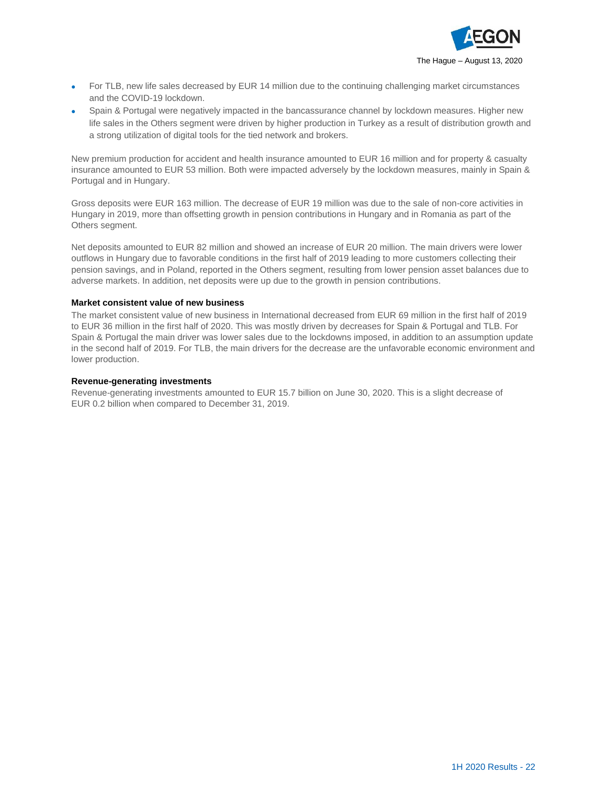

- For TLB, new life sales decreased by EUR 14 million due to the continuing challenging market circumstances and the COVID-19 lockdown.
- Spain & Portugal were negatively impacted in the bancassurance channel by lockdown measures. Higher new life sales in the Others segment were driven by higher production in Turkey as a result of distribution growth and a strong utilization of digital tools for the tied network and brokers.

New premium production for accident and health insurance amounted to EUR 16 million and for property & casualty insurance amounted to EUR 53 million. Both were impacted adversely by the lockdown measures, mainly in Spain & Portugal and in Hungary.

Gross deposits were EUR 163 million. The decrease of EUR 19 million was due to the sale of non-core activities in Hungary in 2019, more than offsetting growth in pension contributions in Hungary and in Romania as part of the Others segment.

Net deposits amounted to EUR 82 million and showed an increase of EUR 20 million. The main drivers were lower outflows in Hungary due to favorable conditions in the first half of 2019 leading to more customers collecting their pension savings, and in Poland, reported in the Others segment, resulting from lower pension asset balances due to adverse markets. In addition, net deposits were up due to the growth in pension contributions.

#### **Market consistent value of new business**

The market consistent value of new business in International decreased from EUR 69 million in the first half of 2019 to EUR 36 million in the first half of 2020. This was mostly driven by decreases for Spain & Portugal and TLB. For Spain & Portugal the main driver was lower sales due to the lockdowns imposed, in addition to an assumption update in the second half of 2019. For TLB, the main drivers for the decrease are the unfavorable economic environment and lower production.

#### **Revenue-generating investments**

Revenue-generating investments amounted to EUR 15.7 billion on June 30, 2020. This is a slight decrease of EUR 0.2 billion when compared to December 31, 2019.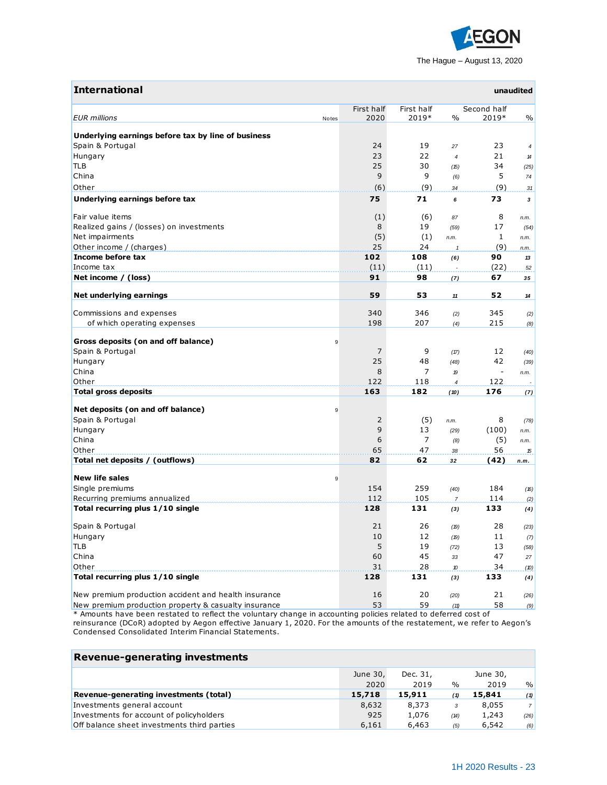

| <b>International</b>                                                                                            |            |            |                  |                          | unaudited |
|-----------------------------------------------------------------------------------------------------------------|------------|------------|------------------|--------------------------|-----------|
|                                                                                                                 | First half | First half |                  | Second half              |           |
| <b>EUR</b> millions<br>Notes                                                                                    | 2020       | 2019*      | $\frac{0}{0}$    | 2019*                    | $\%$      |
| Underlying earnings before tax by line of business                                                              |            |            |                  |                          |           |
| Spain & Portugal                                                                                                | 24         | 19         | 27               | 23                       | 4         |
| Hungary                                                                                                         | 23         | 22         | $\overline{4}$   | 21                       | 14        |
| TLB                                                                                                             | 25         | 30         | (15)             | 34                       | (25)      |
| China                                                                                                           | 9          | 9          | (6)              | 5                        | 74        |
| Other                                                                                                           | (6)        | (9)        | 34               | (9)                      | 31        |
| Underlying earnings before tax                                                                                  | 75         | 71         | 6                | 73                       | 3         |
| Fair value items                                                                                                | (1)        | (6)        | 87               | 8                        | n.m.      |
| Realized gains / (losses) on investments                                                                        | 8          | 19         | (59)             | 17                       | (54)      |
| Net impairments                                                                                                 | (5)        | (1)        |                  | $\mathbf{1}$             |           |
| Other income / (charges)                                                                                        | 25         | 24         | n.m.             | (9)                      | n.m.      |
| Income before tax                                                                                               | 102        | 108        | $\mathbf{1}$     | 90                       | n.m.      |
| Income tax                                                                                                      | (11)       | (11)       | (6)              | (22)                     | 13        |
| Net income / (loss)                                                                                             | 91         | 98         |                  | 67                       | 52        |
|                                                                                                                 |            |            | (7)              |                          | 35        |
| Net underlying earnings                                                                                         | 59         | 53         | 11               | 52                       | 14        |
| Commissions and expenses                                                                                        | 340        | 346        | (2)              | 345                      | (2)       |
| of which operating expenses                                                                                     | 198        | 207        | (4)              | 215                      | (8)       |
| Gross deposits (on and off balance)<br>9                                                                        |            |            |                  |                          |           |
| Spain & Portugal                                                                                                | 7          | 9          | (17)             | 12                       | (40)      |
| Hungary                                                                                                         | 25         | 48         | (48)             | 42                       | (39)      |
| China                                                                                                           | 8          | 7          | 19               | $\overline{\phantom{a}}$ | n.m.      |
| Other                                                                                                           | 122        | 118        | $\boldsymbol{4}$ | 122                      |           |
| <b>Total gross deposits</b>                                                                                     | 163        | 182        | (10)             | 176                      | (7)       |
| Net deposits (on and off balance)<br>9                                                                          |            |            |                  |                          |           |
| Spain & Portugal                                                                                                | 2          | (5)        | n.m.             | 8                        | (78)      |
| Hungary                                                                                                         | 9          | 13         | (29)             | (100)                    | n.m.      |
| China                                                                                                           | 6          | 7          | (8)              | (5)                      | n.m.      |
| Other                                                                                                           | 65         | 47         | 38               | 56                       | 15        |
| Total net deposits / (outflows)                                                                                 | 82         | 62         | 32               | (42)                     | n.m.      |
| <b>New life sales</b><br>9                                                                                      |            |            |                  |                          |           |
| Single premiums                                                                                                 | 154        | 259        | (40)             | 184                      | (16)      |
| Recurring premiums annualized                                                                                   | 112        | 105        | $\overline{7}$   | 114                      | (2)       |
| Total recurring plus 1/10 single                                                                                | 128        | 131        | (3)              | 133                      | (4)       |
| Spain & Portugal                                                                                                | 21         | 26         | (19)             | 28                       | (23)      |
| Hungary                                                                                                         | 10         | 12         | (19)             | 11                       | (7)       |
| <b>TLB</b>                                                                                                      | 5          | 19         | (72)             | 13                       | (58)      |
| China                                                                                                           | 60         | 45         | 33               | 47                       | 27        |
| Other                                                                                                           | 31         | 28         | 10               | 34                       | (10)      |
| Total recurring plus 1/10 single                                                                                | 128        | 131        | (3)              | 133                      | (4)       |
| New premium production accident and health insurance                                                            | 16         | 20         | (20)             | 21                       | (26)      |
| New premium production property & casualty insurance                                                            | 53         | 59         | (11)             | 58                       | (9)       |
| * Amounts have been restated to reflect the voluntary change in accounting policies related to deferred cost of |            |            |                  |                          |           |

reinsurance (DCoR) adopted by Aegon effective January 1, 2020. For the amounts of the restatement, we refer to Aegon's Condensed Consolidated Interim Financial Statements.

| <b>Revenue-generating investments</b>       |          |          |               |          |                |
|---------------------------------------------|----------|----------|---------------|----------|----------------|
|                                             | June 30, | Dec. 31, |               | June 30, |                |
|                                             | 2020     | 2019     | $\frac{0}{0}$ | 2019     | $\frac{9}{0}$  |
| Revenue-generating investments (total)      | 15,718   | 15,911   | (1)           | 15,841   | (1)            |
| Investments general account                 | 8,632    | 8,373    | 3             | 8,055    | 7 <sup>1</sup> |
| Investments for account of policyholders    | 925      | 1,076    | (14)          | 1,243    | (26)           |
| Off balance sheet investments third parties | 6,161    | 6,463    | (5)           | 6,542    | (6)            |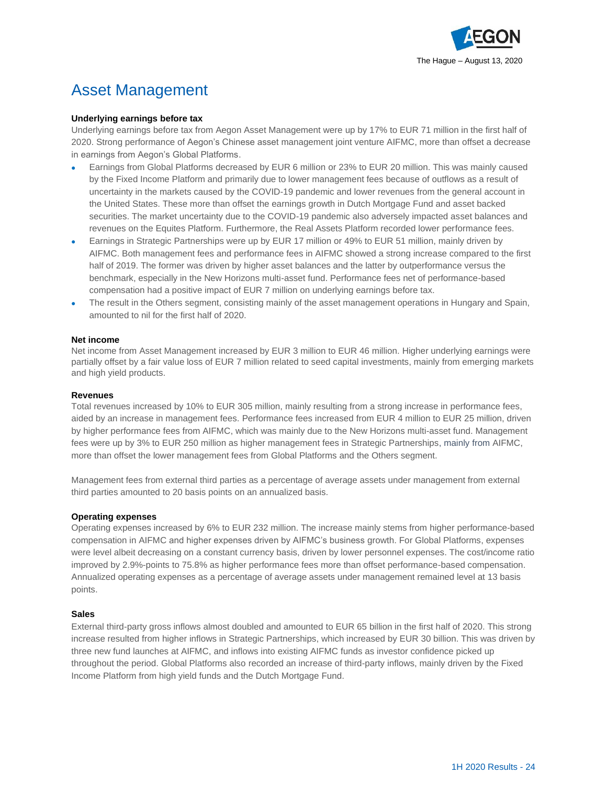

## Asset Management

#### **Underlying earnings before tax**

Underlying earnings before tax from Aegon Asset Management were up by 17% to EUR 71 million in the first half of 2020. Strong performance of Aegon's Chinese asset management joint venture AIFMC, more than offset a decrease in earnings from Aegon's Global Platforms.

- Earnings from Global Platforms decreased by EUR 6 million or 23% to EUR 20 million. This was mainly caused by the Fixed Income Platform and primarily due to lower management fees because of outflows as a result of uncertainty in the markets caused by the COVID-19 pandemic and lower revenues from the general account in the United States. These more than offset the earnings growth in Dutch Mortgage Fund and asset backed securities. The market uncertainty due to the COVID-19 pandemic also adversely impacted asset balances and revenues on the Equites Platform. Furthermore, the Real Assets Platform recorded lower performance fees.
- Earnings in Strategic Partnerships were up by EUR 17 million or 49% to EUR 51 million, mainly driven by AIFMC. Both management fees and performance fees in AIFMC showed a strong increase compared to the first half of 2019. The former was driven by higher asset balances and the latter by outperformance versus the benchmark, especially in the New Horizons multi-asset fund. Performance fees net of performance-based compensation had a positive impact of EUR 7 million on underlying earnings before tax.
- The result in the Others segment, consisting mainly of the asset management operations in Hungary and Spain, amounted to nil for the first half of 2020.

#### **Net income**

Net income from Asset Management increased by EUR 3 million to EUR 46 million. Higher underlying earnings were partially offset by a fair value loss of EUR 7 million related to seed capital investments, mainly from emerging markets and high yield products.

#### **Revenues**

Total revenues increased by 10% to EUR 305 million, mainly resulting from a strong increase in performance fees, aided by an increase in management fees. Performance fees increased from EUR 4 million to EUR 25 million, driven by higher performance fees from AIFMC, which was mainly due to the New Horizons multi-asset fund. Management fees were up by 3% to EUR 250 million as higher management fees in Strategic Partnerships, mainly from AIFMC, more than offset the lower management fees from Global Platforms and the Others segment.

Management fees from external third parties as a percentage of average assets under management from external third parties amounted to 20 basis points on an annualized basis.

#### **Operating expenses**

Operating expenses increased by 6% to EUR 232 million. The increase mainly stems from higher performance-based compensation in AIFMC and higher expenses driven by AIFMC's business growth. For Global Platforms, expenses were level albeit decreasing on a constant currency basis, driven by lower personnel expenses. The cost/income ratio improved by 2.9%-points to 75.8% as higher performance fees more than offset performance-based compensation. Annualized operating expenses as a percentage of average assets under management remained level at 13 basis points.

#### **Sales**

External third-party gross inflows almost doubled and amounted to EUR 65 billion in the first half of 2020. This strong increase resulted from higher inflows in Strategic Partnerships, which increased by EUR 30 billion. This was driven by three new fund launches at AIFMC, and inflows into existing AIFMC funds as investor confidence picked up throughout the period. Global Platforms also recorded an increase of third-party inflows, mainly driven by the Fixed Income Platform from high yield funds and the Dutch Mortgage Fund.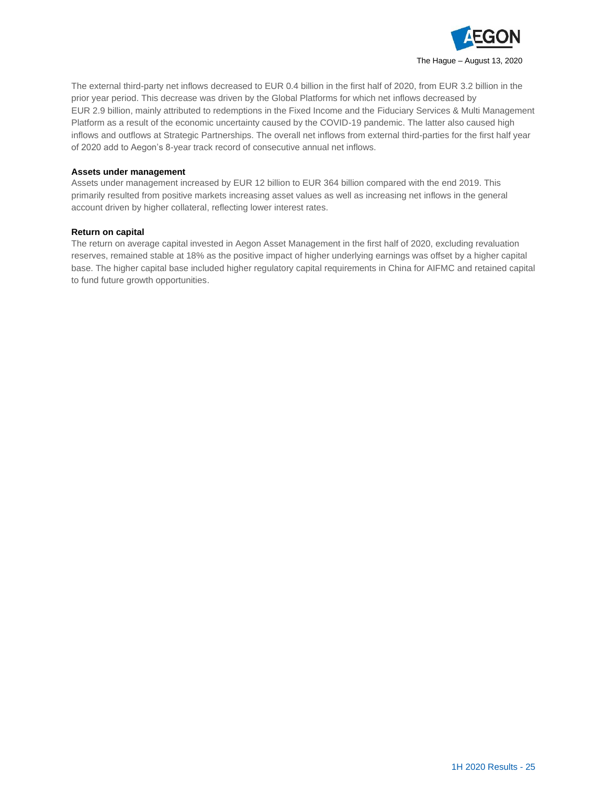

The external third-party net inflows decreased to EUR 0.4 billion in the first half of 2020, from EUR 3.2 billion in the prior year period. This decrease was driven by the Global Platforms for which net inflows decreased by EUR 2.9 billion, mainly attributed to redemptions in the Fixed Income and the Fiduciary Services & Multi Management Platform as a result of the economic uncertainty caused by the COVID-19 pandemic. The latter also caused high inflows and outflows at Strategic Partnerships. The overall net inflows from external third-parties for the first half year of 2020 add to Aegon's 8-year track record of consecutive annual net inflows.

#### **Assets under management**

Assets under management increased by EUR 12 billion to EUR 364 billion compared with the end 2019. This primarily resulted from positive markets increasing asset values as well as increasing net inflows in the general account driven by higher collateral, reflecting lower interest rates.

#### **Return on capital**

The return on average capital invested in Aegon Asset Management in the first half of 2020, excluding revaluation reserves, remained stable at 18% as the positive impact of higher underlying earnings was offset by a higher capital base. The higher capital base included higher regulatory capital requirements in China for AIFMC and retained capital to fund future growth opportunities.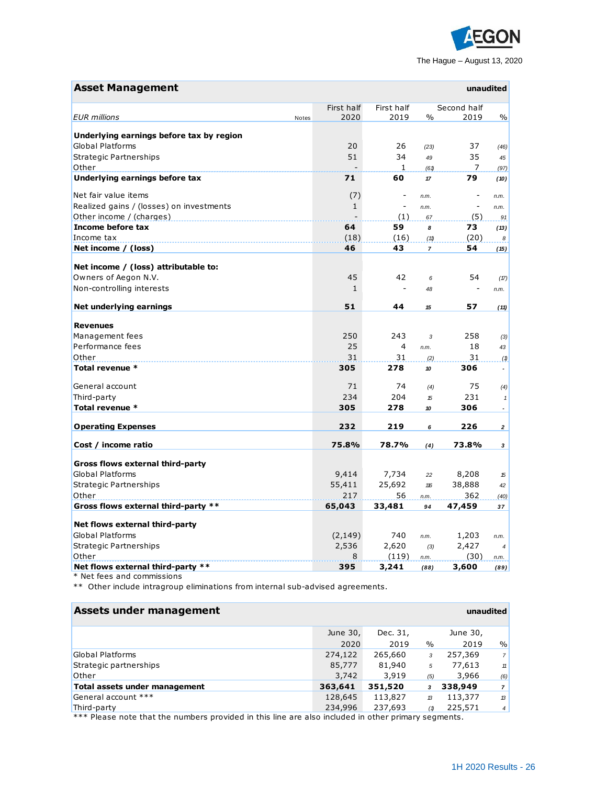

| <b>Asset Management</b>                  |              |                |                | unaudited                |                                |
|------------------------------------------|--------------|----------------|----------------|--------------------------|--------------------------------|
|                                          | First half   | First half     |                | Second half              |                                |
| <b>EUR</b> millions<br>Notes             | 2020         | 2019           | $\frac{0}{0}$  | 2019                     | $\%$                           |
| Underlying earnings before tax by region |              |                |                |                          |                                |
| <b>Global Platforms</b>                  | 20           | 26             | (23)           | 37                       | (46)                           |
| <b>Strategic Partnerships</b>            | 51           | 34             | 49             | 35                       | 45                             |
| Other                                    |              | 1              | (61)           | 7                        | (97)                           |
| Underlying earnings before tax           | 71           | 60             | 17             | 79                       | (10)                           |
| Net fair value items                     | (7)          | $\overline{a}$ | n.m.           |                          | n.m.                           |
| Realized gains / (losses) on investments | $\mathbf{1}$ | $\overline{a}$ | n.m.           | $\overline{\phantom{0}}$ | n.m.                           |
| Other income / (charges)                 |              | (1)            | 67             | (5)                      | 91                             |
| Income before tax                        | 64           | 59             | 8              | 73                       | (13)                           |
| Income tax                               | (18)         | (16)           | (11)           | (20)                     | 8                              |
| Net income / (loss)                      | 46           | 43             | $\overline{7}$ | 54                       | (15)                           |
|                                          |              |                |                |                          |                                |
| Net income / (loss) attributable to:     |              |                |                |                          |                                |
| Owners of Aegon N.V.                     | 45           | 42             | 6              | 54                       | (17)                           |
| Non-controlling interests                | $\mathbf{1}$ | $\overline{a}$ | 48             |                          | n.m.                           |
| Net underlying earnings                  | 51           | 44             | 15             | 57                       | (11)                           |
| <b>Revenues</b>                          |              |                |                |                          |                                |
| Management fees                          | 250          | 243            | 3              | 258                      | (3)                            |
| Performance fees                         | 25           | $\overline{4}$ | n.m.           | 18                       | 43                             |
| Other                                    | 31           | 31             | (2)            | 31                       | (1)                            |
| Total revenue *                          | 305          | 278            | 10             | 306                      | $\tilde{\phantom{a}}$          |
| General account                          | 71           | 74             |                | 75                       |                                |
| Third-party                              | 234          | 204            | (4)<br>15      | 231                      | (4)                            |
| Total revenue *                          | 305          | 278            | 10             | 306                      | $\mathbf{1}$<br>$\blacksquare$ |
|                                          |              |                |                |                          |                                |
| <b>Operating Expenses</b>                | 232          | 219            | 6              | 226                      | $\mathbf{z}$                   |
| Cost / income ratio                      | 75.8%        | 78.7%          | (4)            | 73.8%                    | 3                              |
| Gross flows external third-party         |              |                |                |                          |                                |
| <b>Global Platforms</b>                  | 9,414        | 7,734          | 22             | 8,208                    | 15                             |
| Strategic Partnerships                   | 55,411       | 25,692         | 116            | 38,888                   | 42                             |
| Other                                    | 217          | 56             | n.m.           | 362                      | (40)                           |
| Gross flows external third-party **      | 65,043       | 33,481         | 94             | 47,459                   | 37                             |
| Net flows external third-party           |              |                |                |                          |                                |
| <b>Global Platforms</b>                  | (2, 149)     | 740            | n.m.           | 1,203                    | n.m.                           |
| Strategic Partnerships                   | 2,536        | 2,620          | (3)            | 2,427                    | $\overline{4}$                 |
| Other                                    | 8            | (119)          | n.m.           | (30)                     | n.m.                           |
| Net flows external third-party **        | 395          | 3,241          | (88)           | 3,600                    | (89)                           |

\* Net fees and commissions

\*\* Other include intragroup eliminations from internal sub-advised agreements.

| Assets under management                                                                                    |          |          |      |          | unaudited      |
|------------------------------------------------------------------------------------------------------------|----------|----------|------|----------|----------------|
|                                                                                                            | June 30, | Dec. 31, |      | June 30, |                |
|                                                                                                            | 2020     | 2019     | $\%$ | 2019     | %              |
| Global Platforms                                                                                           | 274,122  | 265,660  | 3    | 257,369  | 7 <sup>1</sup> |
| Strategic partnerships                                                                                     | 85,777   | 81,940   | 5    | 77,613   | 11             |
| Other                                                                                                      | 3,742    | 3,919    | (5)  | 3,966    | (6)            |
| Total assets under management                                                                              | 363,641  | 351,520  | 3    | 338,949  | 7 <sup>1</sup> |
| General account ***                                                                                        | 128,645  | 113,827  | 13   | 113,377  | 13             |
| Third-party                                                                                                | 234,996  | 237,693  | (1)  | 225,571  | 4              |
| VVV Blasse parts that the princhese provided in this line and also included in athen prince of a secondary |          |          |      |          |                |

Please note that the numbers provided in this line are also included in other primary segments.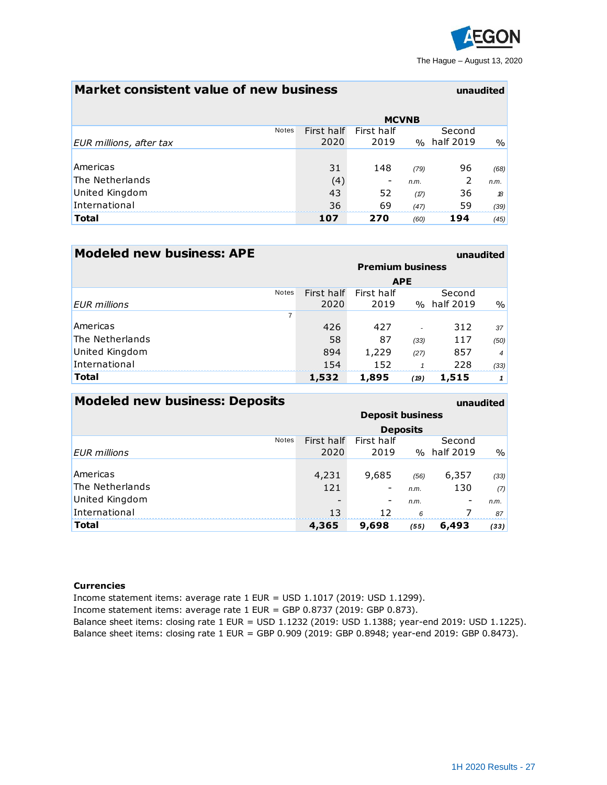

### **Market consistent value of new business unaudited**

|                         | <b>MCVNB</b> |            |      |             |      |
|-------------------------|--------------|------------|------|-------------|------|
| <b>Notes</b>            | First half   | First half |      | Second      |      |
| EUR millions, after tax | 2020         | 2019       |      | % half 2019 | $\%$ |
|                         |              |            |      |             |      |
| Americas                | 31           | 148        | (79) | 96          | (68) |
| The Netherlands         | (4)          |            | n.m. | 2           | n.m. |
| United Kingdom          | 43           | 52         | (17) | 36          | 18   |
| International           | 36           | 69         | (47) | 59          | (39) |
| <b>Total</b>            | 107          | 270        | (60) | 194         | (45) |

| <b>Modeled new business: APE</b> |                         |            |      | unaudited   |                  |
|----------------------------------|-------------------------|------------|------|-------------|------------------|
|                                  | <b>Premium business</b> |            |      |             |                  |
|                                  | <b>APE</b>              |            |      |             |                  |
| <b>Notes</b>                     | First half              | First half |      | Second      |                  |
| <b>EUR</b> millions              | 2020                    | 2019       |      | % half 2019 | $\%$             |
| 7                                |                         |            |      |             |                  |
| Americas                         | 426                     | 427        |      | 312         | 37               |
| The Netherlands                  | 58                      | 87         | (33) | 117         | (50)             |
| United Kingdom                   | 894                     | 1,229      | (27) | 857         | $\boldsymbol{4}$ |
| International                    | 154                     | 152        |      | 228         | (33)             |
| <b>Total</b>                     | 1,532                   | 1,895      | (19) | 1,515       |                  |

| <b>Modeled new business: Deposits</b><br>unaudited |                         |            |      |             |      |
|----------------------------------------------------|-------------------------|------------|------|-------------|------|
|                                                    | <b>Deposit business</b> |            |      |             |      |
|                                                    | <b>Deposits</b>         |            |      |             |      |
| <b>Notes</b>                                       | First half              | First half |      | Second      |      |
| <b>EUR</b> millions                                | 2020                    | 2019       |      | % half 2019 | $\%$ |
|                                                    |                         |            |      |             |      |
| Americas                                           | 4,231                   | 9,685      | (56) | 6,357       | (33) |
| The Netherlands                                    | 121                     | -          | n.m. | 130         | (7)  |
| United Kingdom                                     |                         | -          | n.m. |             | n.m. |
| International                                      | 13                      | 12         | 6    |             | 87   |
| <b>Total</b>                                       | 4,365                   | 9,698      | (55) | 6,493       | (33) |

#### **Currencies**

Income statement items: average rate 1 EUR = USD 1.1017 (2019: USD 1.1299).

Income statement items: average rate 1 EUR = GBP 0.8737 (2019: GBP 0.873).

Balance sheet items: closing rate 1 EUR = USD 1.1232 (2019: USD 1.1388; year-end 2019: USD 1.1225). Balance sheet items: closing rate 1 EUR = GBP 0.909 (2019: GBP 0.8948; year-end 2019: GBP 0.8473).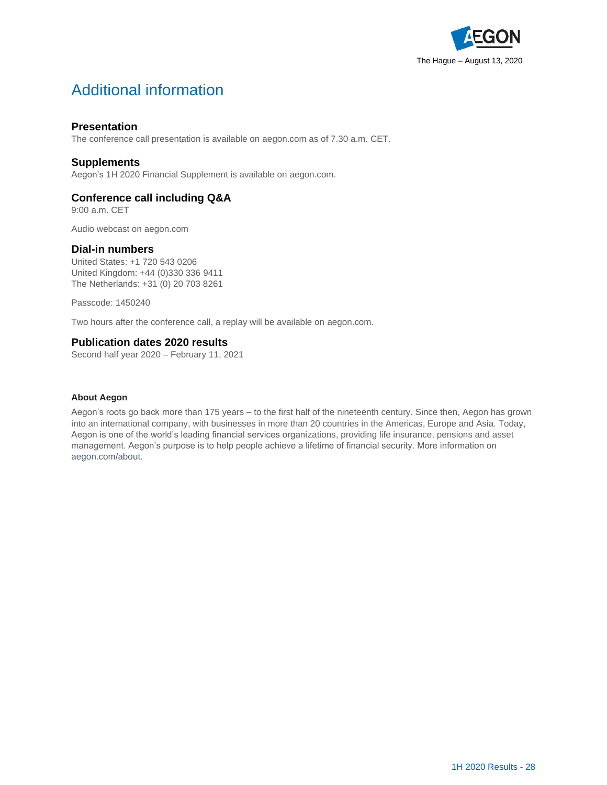

# Additional information

### **Presentation**

The conference call presentation is available o[n aegon.com](http://www.aegon.com/results) as of 7.30 a.m. CET.

### **Supplements**

Aegon's 1H 2020 Financial Supplement is available on [aegon.com.](http://www.aegon.com/results)

### **Conference call including Q&A**

9:00 a.m. CET

Audio webcast o[n aegon.com](http://www.aegon.com/results)

#### **Dial-in numbers**

United States: +1 720 543 0206 United Kingdom: +44 (0)330 336 9411 The Netherlands: +31 (0) 20 703 8261

Passcode: 1450240

Two hours after the conference call, a replay will be available on [aegon.com.](http://www.aegon.com/results)

#### **Publication dates 2020 results**

Second half year 2020 – February 11, 2021

#### **About Aegon**

Aegon's roots go back more than 175 years – to the first half of the nineteenth century. Since then, Aegon has grown into an international company, with businesses in more than 20 countries in the Americas, Europe and Asia. Today, Aegon is one of the world's leading financial services organizations, providing life insurance, pensions and asset management. Aegon's purpose is to help people achieve a lifetime of financial security. More information on [aegon.com/about.](http://www.aegon.com/about)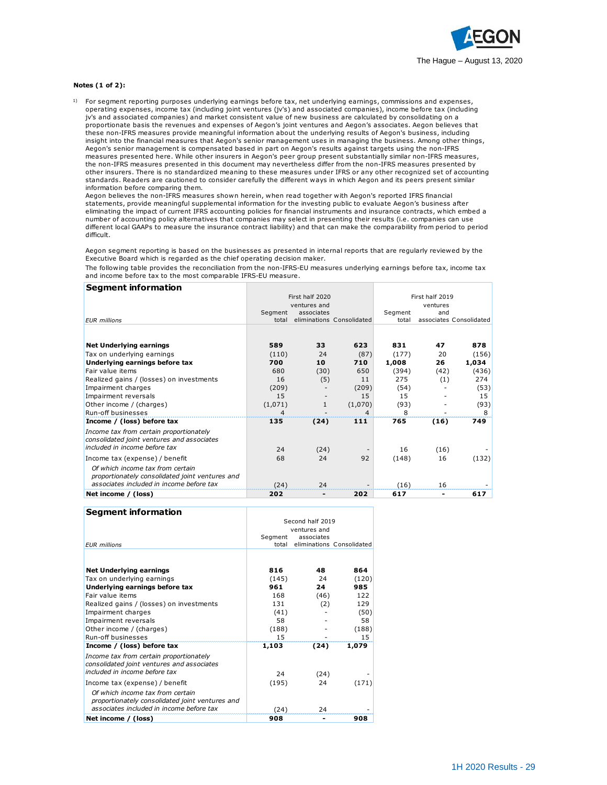

#### **Notes (1 of 2):**

1) For segment reporting purposes underlying earnings before tax, net underlying earnings, commissions and expenses, operating expenses, income tax (including joint ventures (jv's) and associated companies), income before tax (including **es (1 of 2):**<br>For segment reporting purposes underlying earnings before tax, net underlying earnings, commissions and expens<br>operating expenses, income tax (including joint ventures (jv's) and associated companies), incom proportionate basis the revenues and expenses of Aegon's joint ventures and Aegon's associates. Aegon believes that these non-IFRS measures provide meaningful information about the underlying results of Aegon's business, including insight into the financial measures that Aegon's senior management uses in managing the business. Among other things, Aegon's senior management is compensated based in part on Aegon's results against targets using the non-IFRS measures presented here. While other insurers in Aegon's peer group present substantially similar non-IFRS measures, the non-IFRS measures presented in this document may nevertheless differ from the non-IFRS measures presented by other insurers. There is no standardized meaning to these measures under IFRS or any other recognized set of accounting standards. Readers are cautioned to consider carefully the different ways in which Aegon and its peers present similar information before comparing them.

Aegon believes the non-IFRS measures shown herein, when read together with Aegon's reported IFRS financial statements, provide meaningful supplemental information for the investing public to evaluate Aegon's business after eliminating the impact of current IFRS accounting policies for financial instruments and insurance contracts, which embed a number of accounting policy alternatives that companies may select in presenting their results (i.e. companies can use different local GAAPs to measure the insurance contract liability) and that can make the comparability from period to period difficult.

Aegon segment reporting is based on the businesses as presented in internal reports that are regularly reviewed by the Executive Board which is regarded as the chief operating decision maker.

The following table provides the reconciliation from the non-IFRS-EU measures underlying earnings before tax, income tax and income before tax to the most comparable IFRS-EU measure.

| <b>Segment information</b>                                                                                                      |                 |              |                           |                 |                         |       |
|---------------------------------------------------------------------------------------------------------------------------------|-----------------|--------------|---------------------------|-----------------|-------------------------|-------|
|                                                                                                                                 | First half 2020 |              |                           | First half 2019 |                         |       |
|                                                                                                                                 |                 | ventures and |                           |                 | ventures                |       |
|                                                                                                                                 | Segment         | associates   |                           | Segment         | and                     |       |
| <b>EUR</b> millions                                                                                                             | total           |              | eliminations Consolidated | total           | associates Consolidated |       |
|                                                                                                                                 |                 |              |                           |                 |                         |       |
| <b>Net Underlying earnings</b>                                                                                                  | 589             | 33           | 623                       | 831             | 47                      | 878   |
| Tax on underlying earnings                                                                                                      | (110)           | 24           | (87)                      | (177)           | 20                      | (156) |
| Underlying earnings before tax                                                                                                  | 700             | 10           | 710                       | 1,008           | 26                      | 1,034 |
| Fair value items                                                                                                                | 680             | (30)         | 650                       | (394)           | (42)                    | (436) |
| Realized gains / (losses) on investments                                                                                        | 16              | (5)          | 11                        | 275             | (1)                     | 274   |
| Impairment charges                                                                                                              | (209)           |              | (209)                     | (54)            |                         | (53)  |
| Impairment reversals                                                                                                            | 15              |              | 15                        | 15              |                         | 15    |
| Other income / (charges)                                                                                                        | (1,071)         | 1            | (1,070)                   | (93)            |                         | (93)  |
| <b>Run-off businesses</b>                                                                                                       | 4               |              | $\overline{4}$            | 8               |                         | 8     |
| Income / (loss) before tax                                                                                                      | 135             | (24)         | 111                       | 765             | (16)                    | 749   |
| Income tax from certain proportionately<br>consolidated joint ventures and associates                                           |                 |              |                           |                 |                         |       |
| included in income before tax                                                                                                   | 24              | (24)         |                           | 16              | (16)                    |       |
| Income tax (expense) / benefit                                                                                                  | 68              | 24           | 92                        | (148)           | 16                      | (132) |
| Of which income tax from certain<br>proportionately consolidated joint ventures and<br>associates included in income before tax | (24)            | 24           |                           | (16)            | 16                      |       |
| Net income / (loss)                                                                                                             | 202             |              | 202                       | 617             | ۰                       | 617   |
|                                                                                                                                 |                 |              |                           |                 |                         |       |

| <b>Segment information</b> |  |
|----------------------------|--|
|----------------------------|--|

|                                                                                                                                 | Second half 2019 |            |                           |  |
|---------------------------------------------------------------------------------------------------------------------------------|------------------|------------|---------------------------|--|
|                                                                                                                                 | ventures and     |            |                           |  |
|                                                                                                                                 | Seament          | associates |                           |  |
| <b>EUR</b> millions                                                                                                             | total            |            | eliminations Consolidated |  |
|                                                                                                                                 |                  |            |                           |  |
| <b>Net Underlying earnings</b>                                                                                                  | 816              | 48         | 864                       |  |
| Tax on underlying earnings                                                                                                      | (145)            | 24         | (120)                     |  |
| Underlying earnings before tax                                                                                                  | 961              | 24         | 985                       |  |
| Fair value items                                                                                                                | 168              | (46)       | 122                       |  |
| Realized gains / (losses) on investments                                                                                        | 131              | (2)        | 129                       |  |
| Impairment charges                                                                                                              | (41)             |            | (50)                      |  |
| Impairment reversals                                                                                                            | 58               |            | 58                        |  |
| Other income / (charges)                                                                                                        | (188)            |            | (188)                     |  |
| Run-off businesses                                                                                                              | 15               |            | 15                        |  |
| Income / (loss) before tax                                                                                                      | 1,103            | (24)       | 1,079                     |  |
| Income tax from certain proportionately<br>consolidated joint ventures and associates<br>included in income before tax          | 24               | (24)       |                           |  |
|                                                                                                                                 |                  |            |                           |  |
| Income tax (expense) / benefit                                                                                                  | (195)            | 24         | (171)                     |  |
| Of which income tax from certain<br>proportionately consolidated joint ventures and<br>associates included in income before tax | (24)             | 24         |                           |  |
| Net income / (loss)                                                                                                             | 908              |            | 908                       |  |
|                                                                                                                                 |                  |            |                           |  |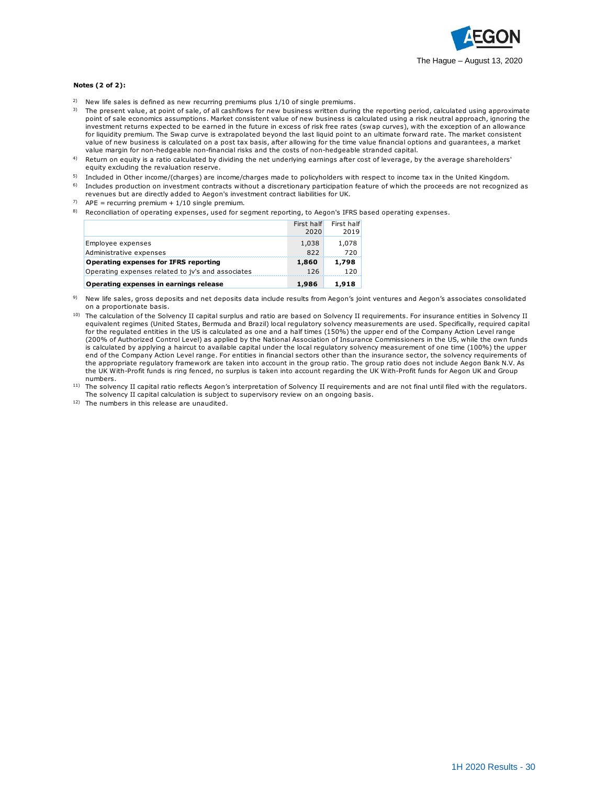

#### **Notes (2 of 2):**

- <sup>2)</sup> New life sales is defined as new recurring premiums plus 1/10 of single premiums.
- 3) The present value, at point of sale, of all cashflows for new business written during the reporting period, calculated using approximate es (2 of 2):<br>New life sales is defined as new recurring premiums plus 1/10 of single premiums.<br>The present value, at point of sale, of all cashflows for new business written during the reporting period, calculated using ap investment returns expected to be earned in the future in excess of risk free rates (swap curves), with the exception of an allowance for liquidity premium. The Swap curve is extrapolated beyond the last liquid point to an ultimate forward rate. The market consistent New life sales is defined as new recurring premiums plus 1/10 of single premiums.<br>The present value, at point of sale, of all cashflows for new business written during the reporting period, calculated using a pproxima<br>poin value margin for non-hedgeable non-financial risks and the costs of non-hedgeable stranded capital.
- 4) Return on equity is a ratio calculated by dividing the net underlying earnings after cost of leverage, by the average shareholders' equity excluding the revaluation reserve.
- 5) 6) Included in Other income/(charges) are income/charges made to policyholders with respect to income tax in the United Kingdom. Includes production on investment contracts without a discretionary participation feature of which the proceeds are not recognized as
- revenues but are directly added to Aegon's investment contract liabilities for UK.
- <sup>7)</sup> APE = recurring premium +  $1/10$  single premium.
- 8) Reconciliation of operating expenses, used for segment reporting, to Aegon's IFRS based operating expenses.

|                                                   | First half | First half |
|---------------------------------------------------|------------|------------|
|                                                   | 2020       | 2019       |
| Employee expenses                                 | 1,038      | 1,078      |
| Administrative expenses                           | 822        | 720        |
| Operating expenses for IFRS reporting             | 1,860      | 1,798      |
| Operating expenses related to jv's and associates | 126        | 120        |
| Operating expenses in earnings release            | 1,986      | 1,918      |

- 9) New life sales, gross deposits and net deposits data include results from Aegon's joint ventures and Aegon's associates consolidated on a proportionate basis.
- <sup>10)</sup> The calculation of the Solvency II capital surplus and ratio are based on Solvency II requirements. For insurance entities in Solvency II equivalent regimes (United States, Bermuda and Brazil) local regulatory solvency measurements are used. Specifically, required capital for the regulated entities in the US is calculated as one and a half times (150%) the upper end of the Company Action Level range (200% of Authorized Control Level) as applied by the National Association of Insurance Commissioners in the US, while the own funds is calculated by applying a haircut to available capital under the local regulatory solvency measurement of one time (100%) the upper end of the Company Action Level range. For entities in financial sectors other than the insurance sector, the solvency requirements of the appropriate regulatory framework are taken into account in the group ratio. The group ratio does not include Aegon Bank N.V. As the UK With-Profit funds is ring fenced, no surplus is taken into account regarding the UK With-Profit funds for Aegon UK and Group numbers. The solvency II capital ratio reflects are a critic in financial sectors other than the interest capital calculation is subject to supervisory in the differency of the UK With-Profit funds is ring fenced, no surplus is tak
- <sup>11)</sup> The solvency II capital ratio reflects Aegon's interpretation of Solvency II requirements and are not final until filed with the regulators.

12) The numbers in this release are unaudited.